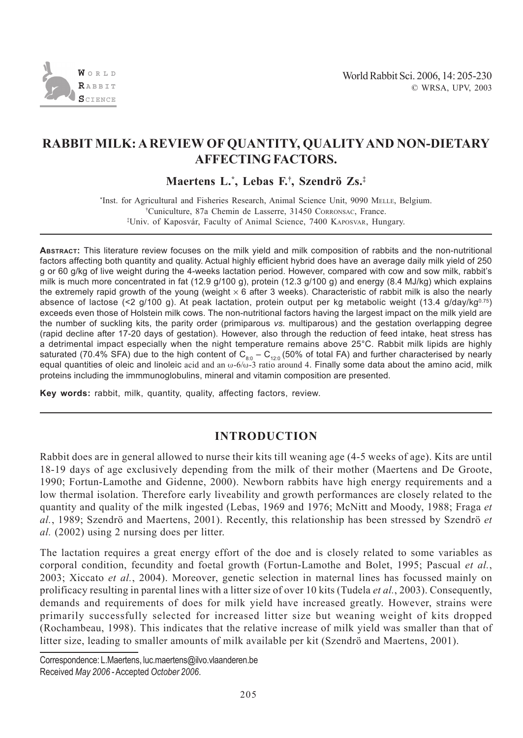

# **RABBIT MILK: A REVIEW OF QUANTITY, QUALITY AND NON-DIETARY AFFECTING FACTORS.**

**Maertens L.\* , Lebas F.† , Szendrö Zs.‡**

\* Inst. for Agricultural and Fisheries Research, Animal Science Unit, 9090 MELLE, Belgium. † Cuniculture, 87a Chemin de Lasserre, 31450 CORRONSAC, France. ‡ Univ. of Kaposvár, Faculty of Animal Science, 7400 KAPOSVAR, Hungary.

**ABSTRACT:** This literature review focuses on the milk yield and milk composition of rabbits and the non-nutritional factors affecting both quantity and quality. Actual highly efficient hybrid does have an average daily milk yield of 250 g or 60 g/kg of live weight during the 4-weeks lactation period. However, compared with cow and sow milk, rabbit's milk is much more concentrated in fat (12.9 g/100 g), protein (12.3 g/100 g) and energy (8.4 MJ/kg) which explains the extremely rapid growth of the young (weight  $\times$  6 after 3 weeks). Characteristic of rabbit milk is also the nearly absence of lactose (<2  $q/100 q$ ). At peak lactation, protein output per kg metabolic weight (13.4  $q/dqv/kg<sup>0.75</sup>$ ) exceeds even those of Holstein milk cows. The non-nutritional factors having the largest impact on the milk yield are the number of suckling kits, the parity order (primiparous *vs.* multiparous) and the gestation overlapping degree (rapid decline after 17-20 days of gestation). However, also through the reduction of feed intake, heat stress has a detrimental impact especially when the night temperature remains above 25°C. Rabbit milk lipids are highly saturated (70.4% SFA) due to the high content of  $C_{80} - C_{120}$  (50% of total FA) and further characterised by nearly equal quantities of oleic and linoleic acid and an  $\omega$ -6/ $\omega$ -3 ratio around 4. Finally some data about the amino acid, milk proteins including the immmunoglobulins, mineral and vitamin composition are presented.

**Key words:** rabbit, milk, quantity, quality, affecting factors, review.

### **INTRODUCTION**

Rabbit does are in general allowed to nurse their kits till weaning age (4-5 weeks of age). Kits are until 18-19 days of age exclusively depending from the milk of their mother (Maertens and De Groote, 1990; Fortun-Lamothe and Gidenne, 2000). Newborn rabbits have high energy requirements and a low thermal isolation. Therefore early liveability and growth performances are closely related to the quantity and quality of the milk ingested (Lebas, 1969 and 1976; McNitt and Moody, 1988; Fraga *et al.*, 1989; Szendrö and Maertens, 2001). Recently, this relationship has been stressed by Szendrö *et al.* (2002) using 2 nursing does per litter.

The lactation requires a great energy effort of the doe and is closely related to some variables as corporal condition, fecundity and foetal growth (Fortun-Lamothe and Bolet, 1995; Pascual *et al.*, 2003; Xiccato *et al.*, 2004). Moreover, genetic selection in maternal lines has focussed mainly on prolificacy resulting in parental lines with a litter size of over 10 kits (Tudela *et al.*, 2003). Consequently, demands and requirements of does for milk yield have increased greatly. However, strains were primarily successfully selected for increased litter size but weaning weight of kits dropped (Rochambeau, 1998). This indicates that the relative increase of milk yield was smaller than that of litter size, leading to smaller amounts of milk available per kit (Szendrö and Maertens, 2001).

Correspondence: L.Maertens, luc.maertens@ilvo.vlaanderen.be Received *May 2006* - Accepted *October 2006*.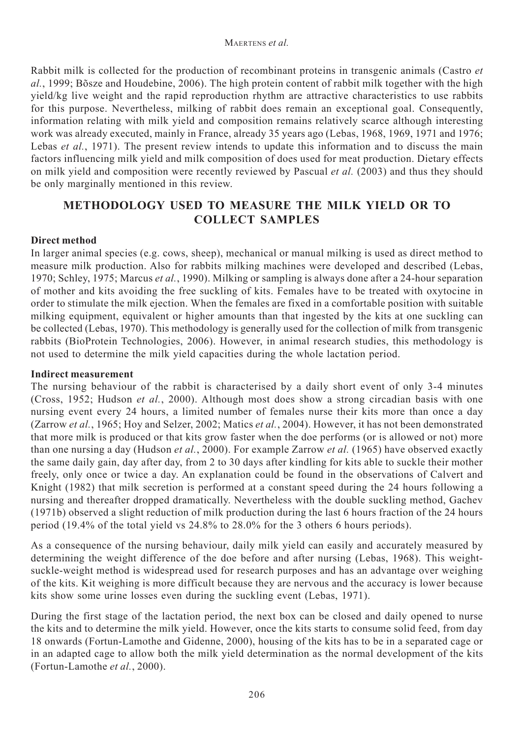Rabbit milk is collected for the production of recombinant proteins in transgenic animals (Castro *et al.*, 1999; Bõsze and Houdebine, 2006). The high protein content of rabbit milk together with the high yield/kg live weight and the rapid reproduction rhythm are attractive characteristics to use rabbits for this purpose. Nevertheless, milking of rabbit does remain an exceptional goal. Consequently, information relating with milk yield and composition remains relatively scarce although interesting work was already executed, mainly in France, already 35 years ago (Lebas, 1968, 1969, 1971 and 1976; Lebas *et al.*, 1971). The present review intends to update this information and to discuss the main factors influencing milk yield and milk composition of does used for meat production. Dietary effects on milk yield and composition were recently reviewed by Pascual *et al.* (2003) and thus they should be only marginally mentioned in this review.

## **METHODOLOGY USED TO MEASURE THE MILK YIELD OR TO COLLECT SAMPLES**

#### **Direct method**

In larger animal species (e.g. cows, sheep), mechanical or manual milking is used as direct method to measure milk production. Also for rabbits milking machines were developed and described (Lebas, 1970; Schley, 1975; Marcus *et al.*, 1990). Milking or sampling is always done after a 24-hour separation of mother and kits avoiding the free suckling of kits. Females have to be treated with oxytocine in order to stimulate the milk ejection. When the females are fixed in a comfortable position with suitable milking equipment, equivalent or higher amounts than that ingested by the kits at one suckling can be collected (Lebas, 1970). This methodology is generally used for the collection of milk from transgenic rabbits (BioProtein Technologies, 2006). However, in animal research studies, this methodology is not used to determine the milk yield capacities during the whole lactation period.

#### **Indirect measurement**

The nursing behaviour of the rabbit is characterised by a daily short event of only 3-4 minutes (Cross, 1952; Hudson *et al.*, 2000). Although most does show a strong circadian basis with one nursing event every 24 hours, a limited number of females nurse their kits more than once a day (Zarrow *et al.*, 1965; Hoy and Selzer, 2002; Matics *et al.*, 2004). However, it has not been demonstrated that more milk is produced or that kits grow faster when the doe performs (or is allowed or not) more than one nursing a day (Hudson *et al.*, 2000). For example Zarrow *et al.* (1965) have observed exactly the same daily gain, day after day, from 2 to 30 days after kindling for kits able to suckle their mother freely, only once or twice a day. An explanation could be found in the observations of Calvert and Knight (1982) that milk secretion is performed at a constant speed during the 24 hours following a nursing and thereafter dropped dramatically. Nevertheless with the double suckling method, Gachev (1971b) observed a slight reduction of milk production during the last 6 hours fraction of the 24 hours period (19.4% of the total yield vs 24.8% to 28.0% for the 3 others 6 hours periods).

As a consequence of the nursing behaviour, daily milk yield can easily and accurately measured by determining the weight difference of the doe before and after nursing (Lebas, 1968). This weightsuckle-weight method is widespread used for research purposes and has an advantage over weighing of the kits. Kit weighing is more difficult because they are nervous and the accuracy is lower because kits show some urine losses even during the suckling event (Lebas, 1971).

During the first stage of the lactation period, the next box can be closed and daily opened to nurse the kits and to determine the milk yield. However, once the kits starts to consume solid feed, from day 18 onwards (Fortun-Lamothe and Gidenne, 2000), housing of the kits has to be in a separated cage or in an adapted cage to allow both the milk yield determination as the normal development of the kits (Fortun-Lamothe *et al.*, 2000).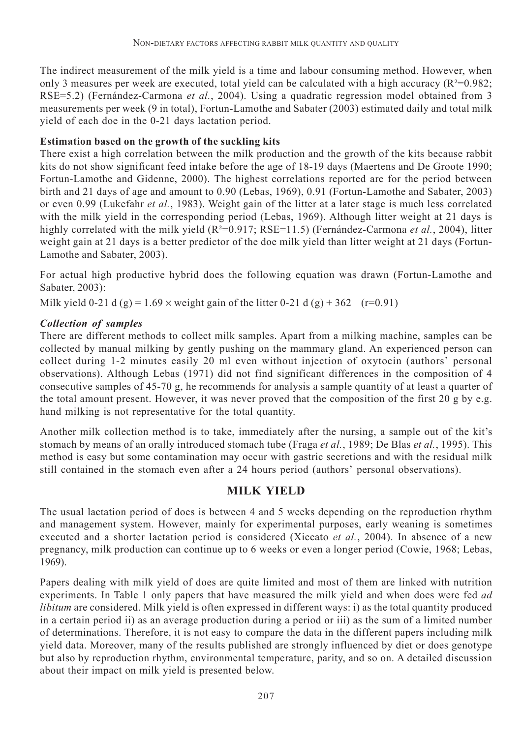The indirect measurement of the milk yield is a time and labour consuming method. However, when only 3 measures per week are executed, total yield can be calculated with a high accuracy ( $R^2$ =0.982; RSE=5.2) (Fernández-Carmona *et al.*, 2004). Using a quadratic regression model obtained from 3 measurements per week (9 in total), Fortun-Lamothe and Sabater (2003) estimated daily and total milk yield of each doe in the 0-21 days lactation period.

## **Estimation based on the growth of the suckling kits**

There exist a high correlation between the milk production and the growth of the kits because rabbit kits do not show significant feed intake before the age of 18-19 days (Maertens and De Groote 1990; Fortun-Lamothe and Gidenne, 2000). The highest correlations reported are for the period between birth and 21 days of age and amount to 0.90 (Lebas, 1969), 0.91 (Fortun-Lamothe and Sabater, 2003) or even 0.99 (Lukefahr *et al.*, 1983). Weight gain of the litter at a later stage is much less correlated with the milk yield in the corresponding period (Lebas, 1969). Although litter weight at 21 days is highly correlated with the milk yield (R<sup>2</sup>=0.917; RSE=11.5) (Fernández-Carmona *et al.*, 2004), litter weight gain at 21 days is a better predictor of the doe milk yield than litter weight at 21 days (Fortun-Lamothe and Sabater, 2003).

For actual high productive hybrid does the following equation was drawn (Fortun-Lamothe and Sabater, 2003):

Milk yield 0-21 d (g) =  $1.69 \times$  weight gain of the litter 0-21 d (g) + 362 (r=0.91)

## *Collection of samples*

There are different methods to collect milk samples. Apart from a milking machine, samples can be collected by manual milking by gently pushing on the mammary gland. An experienced person can collect during 1-2 minutes easily 20 ml even without injection of oxytocin (authors' personal observations). Although Lebas (1971) did not find significant differences in the composition of 4 consecutive samples of 45-70 g, he recommends for analysis a sample quantity of at least a quarter of the total amount present. However, it was never proved that the composition of the first 20 g by e.g. hand milking is not representative for the total quantity.

Another milk collection method is to take, immediately after the nursing, a sample out of the kit's stomach by means of an orally introduced stomach tube (Fraga *et al.*, 1989; De Blas *et al.*, 1995). This method is easy but some contamination may occur with gastric secretions and with the residual milk still contained in the stomach even after a 24 hours period (authors' personal observations).

## **MILK YIELD**

The usual lactation period of does is between 4 and 5 weeks depending on the reproduction rhythm and management system. However, mainly for experimental purposes, early weaning is sometimes executed and a shorter lactation period is considered (Xiccato *et al.*, 2004). In absence of a new pregnancy, milk production can continue up to 6 weeks or even a longer period (Cowie, 1968; Lebas, 1969).

Papers dealing with milk yield of does are quite limited and most of them are linked with nutrition experiments. In Table 1 only papers that have measured the milk yield and when does were fed *ad libitum* are considered. Milk yield is often expressed in different ways: i) as the total quantity produced in a certain period ii) as an average production during a period or iii) as the sum of a limited number of determinations. Therefore, it is not easy to compare the data in the different papers including milk yield data. Moreover, many of the results published are strongly influenced by diet or does genotype but also by reproduction rhythm, environmental temperature, parity, and so on. A detailed discussion about their impact on milk yield is presented below.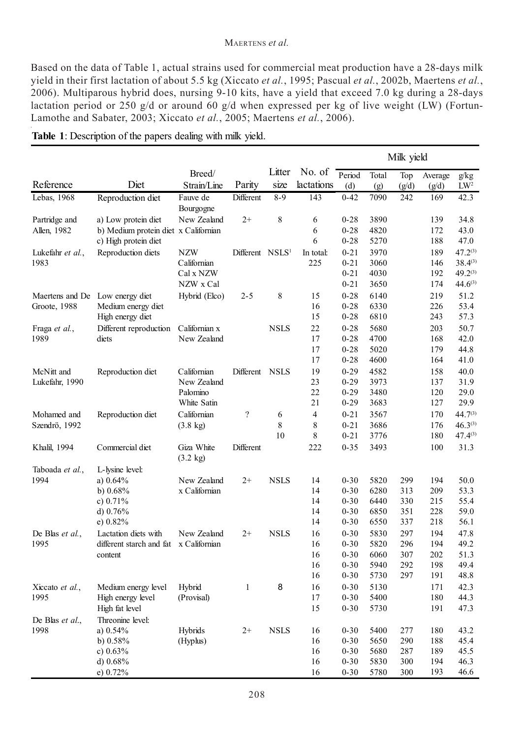#### MAERTENS *et al.*

Based on the data of Table 1, actual strains used for commercial meat production have a 28-days milk yield in their first lactation of about 5.5 kg (Xiccato *et al.*, 1995; Pascual *et al.*, 2002b, Maertens *et al.*, 2006). Multiparous hybrid does, nursing 9-10 kits, have a yield that exceed 7.0 kg during a 28-days lactation period or 250 g/d or around 60 g/d when expressed per kg of live weight (LW) (Fortun-Lamothe and Sabater, 2003; Xiccato *et al.*, 2005; Maertens *et al.*, 2006).

|                          |                                        |                                  |                             |                |                      | Milk yield           |              |              |              |                      |
|--------------------------|----------------------------------------|----------------------------------|-----------------------------|----------------|----------------------|----------------------|--------------|--------------|--------------|----------------------|
| Reference                | Diet                                   | Breed/<br>Strain/Line            | Parity                      | Litter<br>size | No. of<br>lactations | Period               | Total        | Top          | Average      | g/kg                 |
| Lebas, 1968              | Reproduction diet                      | Fauve de                         | Different                   | $8 - 9$        | 143                  | (d)<br>$0 - 42$      | (g)<br>7090  | (g/d)<br>242 | (g/d)<br>169 | $LW^2$<br>42.3       |
|                          |                                        | Bourgogne                        |                             |                |                      |                      |              |              |              |                      |
| Partridge and            | a) Low protein diet                    | New Zealand                      | $2+$                        | 8              | 6                    | $0 - 28$             | 3890         |              | 139          | 34.8                 |
| Allen, 1982              | b) Medium protein diet x Californian   |                                  |                             |                | 6                    | $0 - 28$             | 4820         |              | 172          | 43.0                 |
|                          | c) High protein diet                   |                                  |                             |                | 6                    | $0 - 28$             | 5270         |              | 188          | 47.0<br>$47.2^{(3)}$ |
| Lukefahr et al.,<br>1983 | Reproduction diets                     | <b>NZW</b><br>Californian        | Different NSLS <sup>1</sup> |                | In total:<br>225     | $0 - 21$<br>$0 - 21$ | 3970<br>3060 |              | 189<br>146   | $38.4^{(3)}$         |
|                          |                                        | Cal x NZW                        |                             |                |                      | $0 - 21$             | 4030         |              | 192          | $49.2^{(3)}$         |
|                          |                                        | NZW x Cal                        |                             |                |                      | $0 - 21$             | 3650         |              | 174          | $44.6^{(3)}$         |
| Maertens and De          | Low energy diet                        | Hybrid (Elco)                    | $2 - 5$                     | 8              | 15                   | $0 - 28$             | 6140         |              | 219          | 51.2                 |
| Groote, 1988             | Medium energy diet                     |                                  |                             |                | 16                   | $0 - 28$             | 6330         |              | 226          | 53.4                 |
|                          | High energy diet                       |                                  |                             |                | 15                   | $0 - 28$             | 6810         |              | 243          | 57.3                 |
| Fraga et al.,            | Different reproduction                 | Californian x                    |                             | <b>NSLS</b>    | 22                   | $0 - 28$             | 5680         |              | 203          | 50.7                 |
| 1989                     | diets                                  | New Zealand                      |                             |                | 17                   | $0 - 28$             | 4700         |              | 168          | 42.0                 |
|                          |                                        |                                  |                             |                | 17                   | $0 - 28$             | 5020         |              | 179          | 44.8                 |
|                          |                                        |                                  |                             |                | 17                   | $0 - 28$             | 4600         |              | 164          | 41.0                 |
| McNitt and               | Reproduction diet                      | Californian                      | Different NSLS              |                | 19                   | $0 - 29$<br>$0 - 29$ | 4582         |              | 158          | 40.0                 |
| Lukefahr, 1990           |                                        | New Zealand<br>Palomino          |                             |                | 23<br>22             | $0-29$               | 3973<br>3480 |              | 137<br>120   | 31.9<br>29.0         |
|                          |                                        | White Satin                      |                             |                | 21                   | $0 - 29$             | 3683         |              | 127          | 29.9                 |
| Mohamed and              | Reproduction diet                      | Californian                      | $\overline{\mathcal{C}}$    | 6              | $\overline{4}$       | $0 - 21$             | 3567         |              | 170          | $44.7^{(3)}$         |
| Szendrö, 1992            |                                        | $(3.8 \text{ kg})$               |                             | 8              | 8                    | $0 - 21$             | 3686         |              | 176          | $46.3^{(3)}$         |
|                          |                                        |                                  |                             | 10             | 8                    | $0 - 21$             | 3776         |              | 180          | $47.4^{(3)}$         |
| Khalil, 1994             | Commercial diet                        | Giza White<br>$(3.2 \text{ kg})$ | Different                   |                | 222                  | $0 - 35$             | 3493         |              | 100          | 31.3                 |
| Taboada et al.,          | L-lysine level:                        |                                  |                             |                |                      |                      |              |              |              |                      |
| 1994                     | a) $0.64\%$                            | New Zealand                      | $2+$                        | <b>NSLS</b>    | 14                   | $0 - 30$             | 5820         | 299          | 194          | 50.0                 |
|                          | b) $0.68\%$                            | x Californian                    |                             |                | 14                   | $0 - 30$             | 6280         | 313          | 209          | 53.3                 |
|                          | c) $0.71\%$                            |                                  |                             |                | 14                   | $0 - 30$             | 6440         | 330          | 215          | 55.4                 |
|                          | d) $0.76\%$                            |                                  |                             |                | 14<br>14             | $0 - 30$             | 6850         | 351<br>337   | 228<br>218   | 59.0                 |
|                          | e) $0.82\%$<br>Lactation diets with    | New Zealand                      | $2+$                        | <b>NSLS</b>    | 16                   | $0 - 30$<br>$0 - 30$ | 6550<br>5830 | 297          | 194          | 56.1<br>47.8         |
| De Blas et al.,<br>1995  | different starch and fat x Californian |                                  |                             |                | 16                   | $0 - 30$             | 5820         | 296          | 194          | 49.2                 |
|                          | content                                |                                  |                             |                | 16                   | $0 - 30$             | 6060         | 307          | 202          | 51.3                 |
|                          |                                        |                                  |                             |                | 16                   | $0 - 30$             | 5940         | 292          | 198          | 49.4                 |
|                          |                                        |                                  |                             |                | 16                   | $0 - 30$             | 5730         | 297          | 191          | 48.8                 |
| Xiccato et al.,          | Medium energy level                    | Hybrid                           | 1                           | 8              | 16                   | $0 - 30$             | 5130         |              | 171          | 42.3                 |
| 1995                     | High energy level                      | (Provisal)                       |                             |                | 17                   | $0 - 30$             | 5400         |              | 180          | 44.3                 |
|                          | High fat level                         |                                  |                             |                | 15                   | $0 - 30$             | 5730         |              | 191          | 47.3                 |
| De Blas et al.,          | Threonine level:                       |                                  |                             |                |                      |                      |              |              |              |                      |
| 1998                     | a) $0.54\%$                            | Hybrids                          | $2+$                        | <b>NSLS</b>    | 16                   | $0 - 30$             | 5400         | 277          | 180          | 43.2                 |
|                          | b) $0.58\%$<br>c) $0.63%$              | (Hyplus)                         |                             |                | 16<br>16             | $0 - 30$<br>$0 - 30$ | 5650<br>5680 | 290<br>287   | 188<br>189   | 45.4<br>45.5         |
|                          | d) $0.68\%$                            |                                  |                             |                | 16                   | $0 - 30$             | 5830         | 300          | 194          | 46.3                 |
|                          | e) 0.72%                               |                                  |                             |                | 16                   | $0 - 30$             | 5780         | 300          | 193          | 46.6                 |

**Table 1**: Description of the papers dealing with milk yield.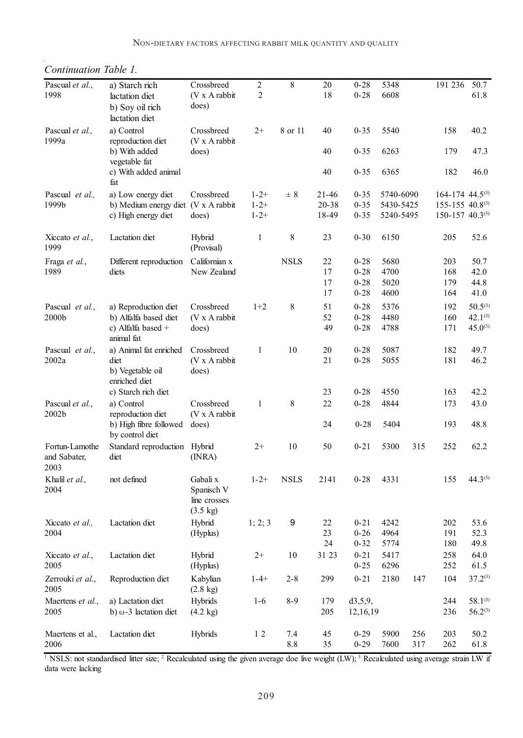| Pascual et al.,<br>1998                | a) Starch rich<br>lactation diet<br>b) Soy oil rich                              | Crossbreed<br>$(V \times A$ rabbit<br>does)                  | $\sqrt{2}$<br>2                     | 8           | 20<br>18                    | $0 - 28$<br>$0 - 28$             | 5348<br>6608                        |     | 191 236                                                                                               | 50.7<br>61.8                 |
|----------------------------------------|----------------------------------------------------------------------------------|--------------------------------------------------------------|-------------------------------------|-------------|-----------------------------|----------------------------------|-------------------------------------|-----|-------------------------------------------------------------------------------------------------------|------------------------------|
| Pascual et al.,<br>1999a               | lactation diet<br>a) Control<br>reproduction diet                                | Crossbreed<br>$(V \times A$ rabbit                           | $2+$                                | 8 or 11     | 40                          | $0 - 35$                         | 5540                                |     | 158                                                                                                   | 40.2                         |
|                                        | b) With added<br>vegetable fat                                                   | does)                                                        |                                     |             | 40                          | $0 - 35$                         | 6263                                |     | 179                                                                                                   | 47.3                         |
|                                        | c) With added animal<br>fat                                                      |                                                              |                                     |             | 40                          | $0 - 35$                         | 6365                                |     | 182                                                                                                   | 46.0                         |
| Pascual et al.,<br>1999b               | a) Low energy diet<br>b) Medium energy diet (V x A rabbit<br>c) High energy diet | Crossbreed<br>does)                                          | $1 - 2 +$<br>$1 - 2 +$<br>$1 - 2 +$ | ± 8         | $21 - 46$<br>20-38<br>18-49 | $0 - 35$<br>$0 - 35$<br>$0 - 35$ | 5740-6090<br>5430-5425<br>5240-5495 |     | $164 - 174$ 44.5 <sup>(3)</sup><br>$155 - 155$ 40.8 <sup>(3)</sup><br>$150 - 157$ 40.3 <sup>(3)</sup> |                              |
| Xiccato et al.,<br>1999                | Lactation diet                                                                   | Hybrid<br>(Provisal)                                         | 1                                   | 8           | 23                          | $0 - 30$                         | 6150                                |     | 205                                                                                                   | 52.6                         |
| Fraga et al.,                          | Different reproduction                                                           | Californian x                                                |                                     | <b>NSLS</b> | 22                          | $0 - 28$                         | 5680                                |     | 203                                                                                                   | 50.7                         |
| 1989                                   | diets                                                                            | New Zealand                                                  |                                     |             | 17                          | $0 - 28$                         | 4700                                |     | 168                                                                                                   | 42.0                         |
|                                        |                                                                                  |                                                              |                                     |             | 17                          | $0 - 28$                         | 5020                                |     | 179                                                                                                   | 44.8                         |
|                                        |                                                                                  |                                                              |                                     |             | 17                          | $0 - 28$                         | 4600                                |     | 164                                                                                                   | 41.0                         |
| Pascual et al.,                        | a) Reproduction diet                                                             | Crossbreed                                                   | $1+2$                               | 8           | 51                          | $0 - 28$                         | 5376                                |     | 192                                                                                                   | $50.5^{(3)}$                 |
| 2000b                                  | b) Alfalfa based diet                                                            | $(V \times A$ rabbit                                         |                                     |             | 52                          | $0 - 28$                         | 4480                                |     | 160                                                                                                   | $42.1^{(3)}$                 |
|                                        | c) Alfalfa based +<br>animal fat                                                 | does)                                                        |                                     |             | 49                          | $0 - 28$                         | 4788                                |     | 171                                                                                                   | $45.0^{(3)}$                 |
| Pascual et al.,                        | a) Animal fat enriched                                                           | Crossbreed                                                   | 1                                   | 10          | 20                          | $0 - 28$                         | 5087                                |     | 182                                                                                                   | 49.7                         |
| 2002a                                  | diet<br>b) Vegetable oil<br>enriched diet                                        | $(V \times A$ rabbit<br>does)                                |                                     |             | 21                          | $0 - 28$                         | 5055                                |     | 181                                                                                                   | 46.2                         |
|                                        | c) Starch rich diet                                                              |                                                              |                                     |             | 23                          | $0 - 28$                         | 4550                                |     | 163                                                                                                   | 42.2                         |
| Pascual et al.,<br>2002 <sub>b</sub>   | a) Control<br>reproduction diet                                                  | Crossbreed<br>$(V \times A$ rabbit                           | $\mathbf{1}$                        | 8           | 22                          | $0 - 28$                         | 4844                                |     | 173                                                                                                   | 43.0                         |
|                                        | b) High fibre followed<br>by control diet                                        | does)                                                        |                                     |             | 24                          | $0 - 28$                         | 5404                                |     | 193                                                                                                   | 48.8                         |
| Fortun-Lamothe<br>and Sabater,<br>2003 | Standard reproduction<br>diet                                                    | Hybrid<br>(INRA)                                             | $2+$                                | 10          | 50                          | $0 - 21$                         | 5300                                | 315 | 252                                                                                                   | 62.2                         |
| Khalil et al.,<br>2004                 | not defined                                                                      | Gabali x<br>Spanisch V<br>line crosses<br>$(3.5 \text{ kg})$ | $1 - 2 +$                           | <b>NSLS</b> | 2141                        | $0 - 28$                         | 4331                                |     | 155                                                                                                   | $44.3^{(3)}$                 |
| Xiccato et al.,                        | Lactation diet                                                                   | Hybrid                                                       | 1; 2; 3                             | 9           | 22                          | $0 - 21$                         | 4242                                |     | 202                                                                                                   | 53.6                         |
| 2004                                   |                                                                                  | (Hyplus)                                                     |                                     |             | 23                          | $0 - 26$                         | 4964                                |     | 191                                                                                                   | 52.3                         |
|                                        |                                                                                  |                                                              |                                     |             | 24                          | $0 - 32$                         | 5774                                |     | 180                                                                                                   | 49.8                         |
| Xiccato <i>et al.</i> ,<br>2005        | Lactation diet                                                                   | Hybrid<br>(Hyplus)                                           | $2+$                                | 10          | 31 23                       | $0 - 21$<br>$0 - 25$             | 5417<br>6296                        |     | 258<br>252                                                                                            | 64.0<br>61.5                 |
| Zerrouki et al.,<br>2005               | Reproduction diet                                                                | Kabylian<br>$(2.8 \text{ kg})$                               | $1 - 4 +$                           | $2 - 8$     | 299                         | $0 - 21$                         | 2180                                | 147 | 104                                                                                                   | $37.2^{(3)}$                 |
| Maertens et al.,<br>2005               | a) Lactation diet<br>b) $\omega$ -3 lactation diet                               | Hybrids<br>$(4.2 \text{ kg})$                                | $1 - 6$                             | $8 - 9$     | 179<br>205                  | d3,5,9,<br>12,16,19              |                                     |     | 244<br>236                                                                                            | $58.1^{(3)}$<br>$56.2^{(3)}$ |
| Maertens et al.,                       | Lactation diet                                                                   | Hybrids                                                      | 12                                  | 7.4         | 45                          | $0 - 29$                         | 5900                                | 256 | 203                                                                                                   | 50.2                         |
| 2006                                   |                                                                                  |                                                              |                                     | $8.8\,$     | 35                          | $0 - 29$                         | 7600                                | 317 | 262                                                                                                   | 61.8                         |
|                                        |                                                                                  |                                                              |                                     |             |                             |                                  |                                     |     |                                                                                                       |                              |

*Continuation Table 1.*

<sup>1</sup> NSLS: not standardised litter size; <sup>2</sup> Recalculated using the given average doe live weight (LW); <sup>3</sup> Recalculated using average strain LW if data were lacking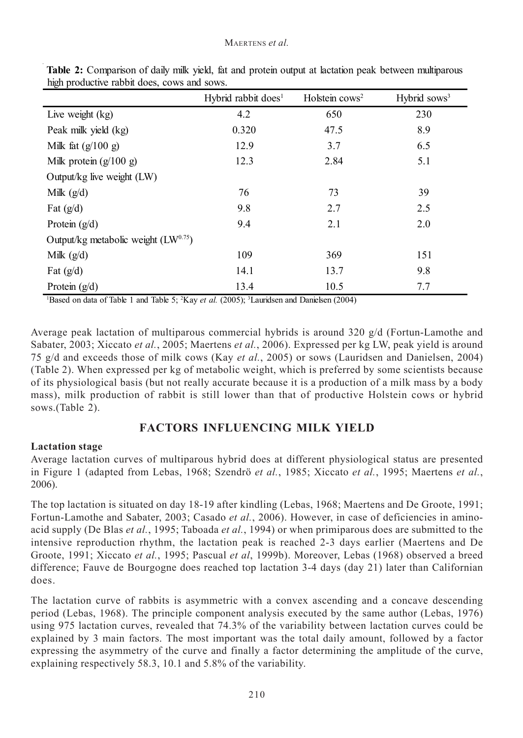| ັ່                                       | Hybrid rabbit does <sup>1</sup> | Holstein $\cos^2$ | Hybrid sows <sup>3</sup> |
|------------------------------------------|---------------------------------|-------------------|--------------------------|
| Live weight (kg)                         | 4.2                             | 650               | 230                      |
| Peak milk yield (kg)                     | 0.320                           | 47.5              | 8.9                      |
| Milk fat $(g/100 g)$                     | 12.9                            | 3.7               | 6.5                      |
| Milk protein $(g/100 g)$                 | 12.3                            | 2.84              | 5.1                      |
| Output/kg live weight (LW)               |                                 |                   |                          |
| Milk $(g/d)$                             | 76                              | 73                | 39                       |
| Fat $(g/d)$                              | 9.8                             | 2.7               | 2.5                      |
| Protein $(g/d)$                          | 9.4                             | 2.1               | 2.0                      |
| Output/kg metabolic weight $(LW^{0.75})$ |                                 |                   |                          |
| Milk $(g/d)$                             | 109                             | 369               | 151                      |
| Fat $(g/d)$                              | 14.1                            | 13.7              | 9.8                      |
| Protein $(g/d)$                          | 13.4                            | 10.5              | 7.7                      |

**Table 2:** Comparison of daily milk yield, fat and protein output at lactation peak between multiparous high productive rabbit does, cows and sows.

<sup>1</sup>Based on data of Table 1 and Table 5; <sup>2</sup>Kay *et al.* (2005); <sup>3</sup>Lauridsen and Danielsen (2004)

Average peak lactation of multiparous commercial hybrids is around 320 g/d (Fortun-Lamothe and Sabater, 2003; Xiccato *et al.*, 2005; Maertens *et al.*, 2006). Expressed per kg LW, peak yield is around 75 g/d and exceeds those of milk cows (Kay *et al.*, 2005) or sows (Lauridsen and Danielsen, 2004) (Table 2). When expressed per kg of metabolic weight, which is preferred by some scientists because of its physiological basis (but not really accurate because it is a production of a milk mass by a body mass), milk production of rabbit is still lower than that of productive Holstein cows or hybrid sows.(Table 2).

### **FACTORS INFLUENCING MILK YIELD**

#### **Lactation stage**

Average lactation curves of multiparous hybrid does at different physiological status are presented in Figure 1 (adapted from Lebas, 1968; Szendrö *et al.*, 1985; Xiccato *et al.*, 1995; Maertens *et al.*, 2006).

The top lactation is situated on day 18-19 after kindling (Lebas, 1968; Maertens and De Groote, 1991; Fortun-Lamothe and Sabater, 2003; Casado *et al.*, 2006). However, in case of deficiencies in aminoacid supply (De Blas *et al.*, 1995; Taboada *et al.*, 1994) or when primiparous does are submitted to the intensive reproduction rhythm, the lactation peak is reached 2-3 days earlier (Maertens and De Groote, 1991; Xiccato *et al.*, 1995; Pascual *et al*, 1999b). Moreover, Lebas (1968) observed a breed difference; Fauve de Bourgogne does reached top lactation 3-4 days (day 21) later than Californian does.

The lactation curve of rabbits is asymmetric with a convex ascending and a concave descending period (Lebas, 1968). The principle component analysis executed by the same author (Lebas, 1976) using 975 lactation curves, revealed that 74.3% of the variability between lactation curves could be explained by 3 main factors. The most important was the total daily amount, followed by a factor expressing the asymmetry of the curve and finally a factor determining the amplitude of the curve, explaining respectively 58.3, 10.1 and 5.8% of the variability.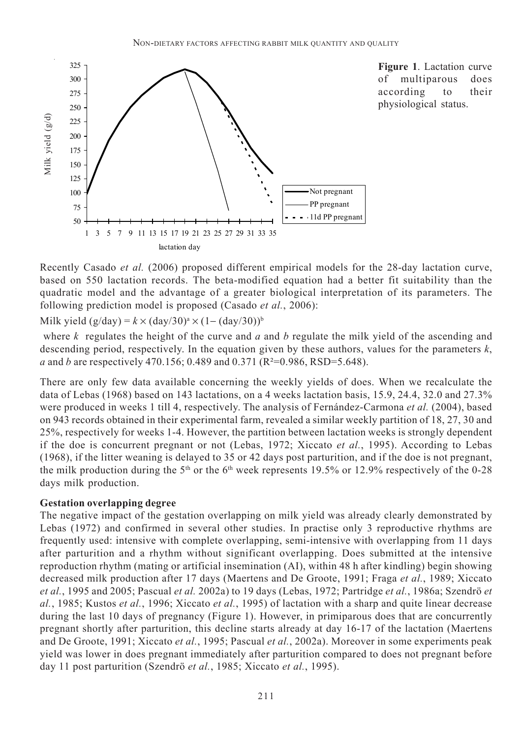

**Figure 1**. Lactation curve of multiparous does according to their physiological status.

Recently Casado *et al.* (2006) proposed different empirical models for the 28-day lactation curve, based on 550 lactation records. The beta-modified equation had a better fit suitability than the quadratic model and the advantage of a greater biological interpretation of its parameters. The following prediction model is proposed (Casado *et al.*, 2006):

Milk yield  $(g/day) = k \times (day/30)^a \times (1 - (day/30))^b$ 

 where *k* regulates the height of the curve and *a* and *b* regulate the milk yield of the ascending and descending period, respectively. In the equation given by these authors, values for the parameters *k*, *a* and *b* are respectively 470.156; 0.489 and 0.371 (R²=0.986, RSD=5.648).

There are only few data available concerning the weekly yields of does. When we recalculate the data of Lebas (1968) based on 143 lactations, on a 4 weeks lactation basis, 15.9, 24.4, 32.0 and 27.3% were produced in weeks 1 till 4, respectively. The analysis of Fernández-Carmona *et al.* (2004), based on 943 records obtained in their experimental farm, revealed a similar weekly partition of 18, 27, 30 and 25%, respectively for weeks 1-4. However, the partition between lactation weeks is strongly dependent if the doe is concurrent pregnant or not (Lebas, 1972; Xiccato *et al.*, 1995). According to Lebas (1968), if the litter weaning is delayed to 35 or 42 days post parturition, and if the doe is not pregnant, the milk production during the  $5<sup>th</sup>$  or the 6<sup>th</sup> week represents 19.5% or 12.9% respectively of the 0-28 days milk production.

#### **Gestation overlapping degree**

The negative impact of the gestation overlapping on milk yield was already clearly demonstrated by Lebas (1972) and confirmed in several other studies. In practise only 3 reproductive rhythms are frequently used: intensive with complete overlapping, semi-intensive with overlapping from 11 days after parturition and a rhythm without significant overlapping. Does submitted at the intensive reproduction rhythm (mating or artificial insemination (AI), within 48 h after kindling) begin showing decreased milk production after 17 days (Maertens and De Groote, 1991; Fraga *et al.*, 1989; Xiccato *et al.*, 1995 and 2005; Pascual *et al.* 2002a) to 19 days (Lebas, 1972; Partridge *et al.*, 1986a; Szendrö *et al.*, 1985; Kustos *et al.*, 1996; Xiccato *et al.*, 1995) of lactation with a sharp and quite linear decrease during the last 10 days of pregnancy (Figure 1). However, in primiparous does that are concurrently pregnant shortly after parturition, this decline starts already at day 16-17 of the lactation (Maertens and De Groote, 1991; Xiccato *et al.*, 1995; Pascual *et al.*, 2002a). Moreover in some experiments peak yield was lower in does pregnant immediately after parturition compared to does not pregnant before  $\frac{\pi_9}{22}$ <br>  $\frac{\pi_2}{25}$ <br>  $\frac{\pi_3}{25}$ <br>  $\frac{\pi_4}{25}$ <br>  $\frac{\pi_5}{25}$ <br>  $\frac{\pi_6}{25}$ <br>  $\frac{\pi_7}{25}$ <br>  $\frac{\pi_8}{25}$ <br>  $\frac{\pi_7}{25}$ <br>  $\frac{\pi_8}{25}$ <br>  $\frac{\pi_7}{25}$ <br>  $\frac{\pi_8}{25}$ <br>  $\frac{\pi_7}{25}$ <br>  $\frac{\pi_7}{25}$ <br>  $\frac{\pi_7}{25}$ <br>  $\frac{\pi_7}{25}$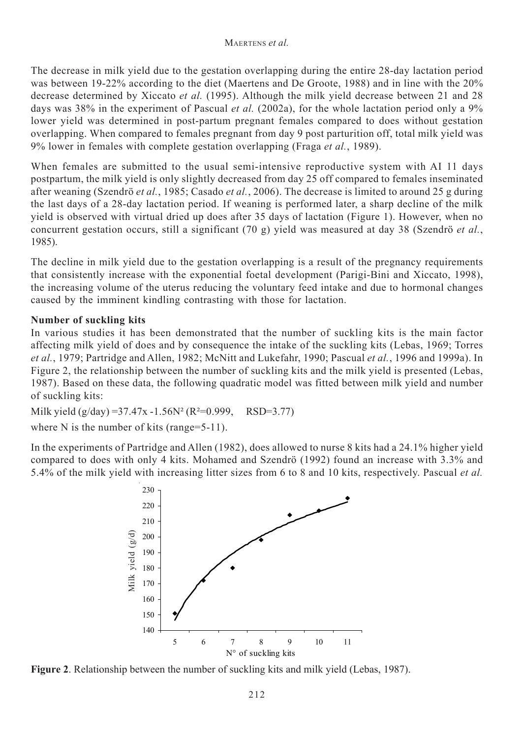The decrease in milk yield due to the gestation overlapping during the entire 28-day lactation period was between 19-22% according to the diet (Maertens and De Groote, 1988) and in line with the 20% decrease determined by Xiccato *et al.* (1995). Although the milk yield decrease between 21 and 28 days was 38% in the experiment of Pascual *et al.* (2002a), for the whole lactation period only a 9% lower yield was determined in post-partum pregnant females compared to does without gestation overlapping. When compared to females pregnant from day 9 post parturition off, total milk yield was 9% lower in females with complete gestation overlapping (Fraga *et al.*, 1989).

When females are submitted to the usual semi-intensive reproductive system with AI 11 days postpartum, the milk yield is only slightly decreased from day 25 off compared to females inseminated after weaning (Szendrö *et al.*, 1985; Casado *et al.*, 2006). The decrease is limited to around 25 g during the last days of a 28-day lactation period. If weaning is performed later, a sharp decline of the milk vield is observed with virtual dried up does after 35 days of lactation (Figure 1). However, when no concurrent gestation occurs, still a significant (70 g) yield was measured at day 38 (Szendrö *et al.*, 1985).

The decline in milk yield due to the gestation overlapping is a result of the pregnancy requirements that consistently increase with the exponential foetal development (Parigi-Bini and Xiccato, 1998), the increasing volume of the uterus reducing the voluntary feed intake and due to hormonal changes caused by the imminent kindling contrasting with those for lactation.

#### **Number of suckling kits**

In various studies it has been demonstrated that the number of suckling kits is the main factor affecting milk yield of does and by consequence the intake of the suckling kits (Lebas, 1969; Torres *et al.*, 1979; Partridge and Allen, 1982; McNitt and Lukefahr, 1990; Pascual *et al.*, 1996 and 1999a). In Figure 2, the relationship between the number of suckling kits and the milk yield is presented (Lebas, 1987). Based on these data, the following quadratic model was fitted between milk yield and number of suckling kits:

Milk yield  $(g/day) = 37.47x - 1.56N^2 (R^2=0.999, RSD=3.77)$ 

where N is the number of kits (range=5-11).

In the experiments of Partridge and Allen (1982), does allowed to nurse 8 kits had a 24.1% higher yield compared to does with only 4 kits. Mohamed and Szendrö (1992) found an increase with 3.3% and 5.4% of the milk yield with increasing litter sizes from 6 to 8 and 10 kits, respectively. Pascual *et al.*



**Figure 2**. Relationship between the number of suckling kits and milk yield (Lebas, 1987).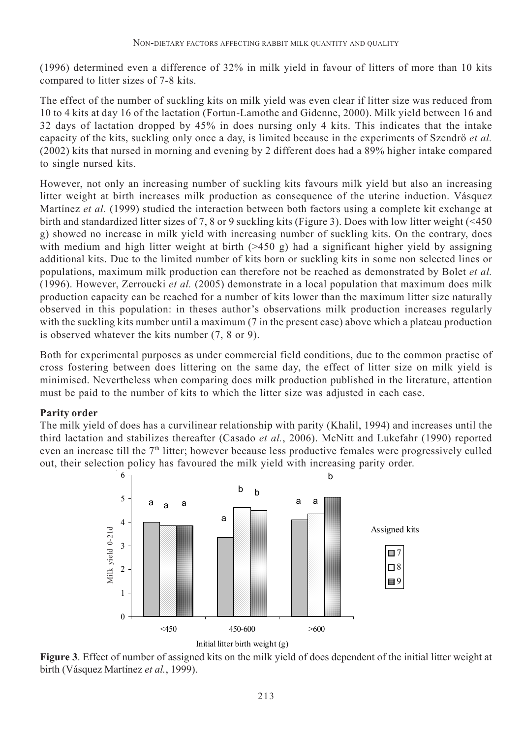(1996) determined even a difference of 32% in milk yield in favour of litters of more than 10 kits compared to litter sizes of 7-8 kits.

The effect of the number of suckling kits on milk yield was even clear if litter size was reduced from 10 to 4 kits at day 16 of the lactation (Fortun-Lamothe and Gidenne, 2000). Milk yield between 16 and 32 days of lactation dropped by 45% in does nursing only 4 kits. This indicates that the intake capacity of the kits, suckling only once a day, is limited because in the experiments of Szendrö *et al.* (2002) kits that nursed in morning and evening by 2 different does had a 89% higher intake compared to single nursed kits.

However, not only an increasing number of suckling kits favours milk yield but also an increasing litter weight at birth increases milk production as consequence of the uterine induction. Vásquez Martínez *et al.* (1999) studied the interaction between both factors using a complete kit exchange at birth and standardized litter sizes of 7, 8 or 9 suckling kits (Figure 3). Does with low litter weight (<450 g) showed no increase in milk yield with increasing number of suckling kits. On the contrary, does with medium and high litter weight at birth (>450 g) had a significant higher yield by assigning additional kits. Due to the limited number of kits born or suckling kits in some non selected lines or populations, maximum milk production can therefore not be reached as demonstrated by Bolet *et al.* (1996). However, Zerroucki *et al.* (2005) demonstrate in a local population that maximum does milk production capacity can be reached for a number of kits lower than the maximum litter size naturally observed in this population: in theses author's observations milk production increases regularly with the suckling kits number until a maximum (7 in the present case) above which a plateau production is observed whatever the kits number (7, 8 or 9).

Both for experimental purposes as under commercial field conditions, due to the common practise of cross fostering between does littering on the same day, the effect of litter size on milk yield is minimised. Nevertheless when comparing does milk production published in the literature, attention must be paid to the number of kits to which the litter size was adjusted in each case.

#### **Parity order**

The milk yield of does has a curvilinear relationship with parity (Khalil, 1994) and increases until the third lactation and stabilizes thereafter (Casado *et al.*, 2006). McNitt and Lukefahr (1990) reported even an increase till the 7th litter; however because less productive females were progressively culled out, their selection policy has favoured the milk yield with increasing parity order.





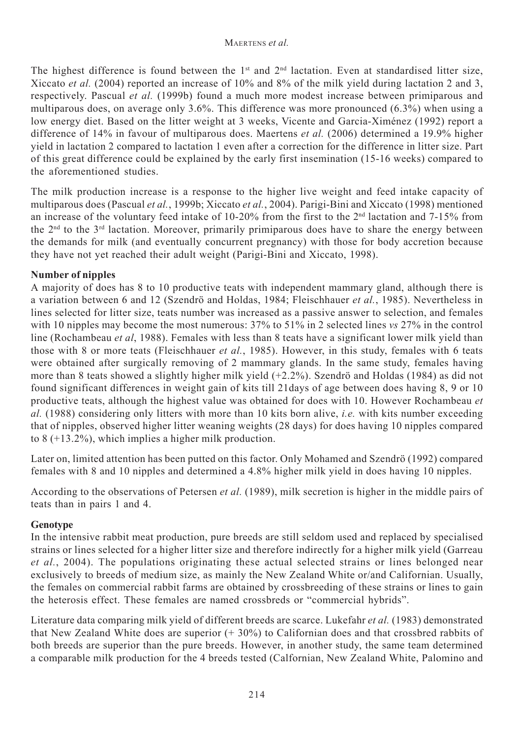The highest difference is found between the  $1<sup>st</sup>$  and  $2<sup>nd</sup>$  lactation. Even at standardised litter size, Xiccato *et al.* (2004) reported an increase of 10% and 8% of the milk yield during lactation 2 and 3, respectively. Pascual *et al.* (1999b) found a much more modest increase between primiparous and multiparous does, on average only 3.6%. This difference was more pronounced (6.3%) when using a low energy diet. Based on the litter weight at 3 weeks, Vicente and Garcia-Ximénez (1992) report a difference of 14% in favour of multiparous does. Maertens *et al.* (2006) determined a 19.9% higher yield in lactation 2 compared to lactation 1 even after a correction for the difference in litter size. Part of this great difference could be explained by the early first insemination (15-16 weeks) compared to the aforementioned studies.

The milk production increase is a response to the higher live weight and feed intake capacity of multiparous does (Pascual *et al.*, 1999b; Xiccato *et al.*, 2004). Parigi-Bini and Xiccato (1998) mentioned an increase of the voluntary feed intake of 10-20% from the first to the  $2<sup>nd</sup>$  lactation and 7-15% from the  $2<sup>nd</sup>$  to the  $3<sup>rd</sup>$  lactation. Moreover, primarily primiparous does have to share the energy between the demands for milk (and eventually concurrent pregnancy) with those for body accretion because they have not yet reached their adult weight (Parigi-Bini and Xiccato, 1998).

#### **Number of nipples**

A majority of does has 8 to 10 productive teats with independent mammary gland, although there is a variation between 6 and 12 (Szendrö and Holdas, 1984; Fleischhauer *et al.*, 1985). Nevertheless in lines selected for litter size, teats number was increased as a passive answer to selection, and females with 10 nipples may become the most numerous: 37% to 51% in 2 selected lines *vs* 27% in the control line (Rochambeau *et al*, 1988). Females with less than 8 teats have a significant lower milk yield than those with 8 or more teats (Fleischhauer *et al.*, 1985). However, in this study, females with 6 teats were obtained after surgically removing of 2 mammary glands. In the same study, females having more than 8 teats showed a slightly higher milk yield (+2.2%). Szendrö and Holdas (1984) as did not found significant differences in weight gain of kits till 21days of age between does having 8, 9 or 10 productive teats, although the highest value was obtained for does with 10. However Rochambeau *et al.* (1988) considering only litters with more than 10 kits born alive, *i.e.* with kits number exceeding that of nipples, observed higher litter weaning weights (28 days) for does having 10 nipples compared to 8 (+13.2%), which implies a higher milk production.

Later on, limited attention has been putted on this factor. Only Mohamed and Szendrö (1992) compared females with 8 and 10 nipples and determined a 4.8% higher milk yield in does having 10 nipples.

According to the observations of Petersen *et al.* (1989), milk secretion is higher in the middle pairs of teats than in pairs 1 and 4.

#### **Genotype**

In the intensive rabbit meat production, pure breeds are still seldom used and replaced by specialised strains or lines selected for a higher litter size and therefore indirectly for a higher milk yield (Garreau *et al.*, 2004). The populations originating these actual selected strains or lines belonged near exclusively to breeds of medium size, as mainly the New Zealand White or/and Californian. Usually, the females on commercial rabbit farms are obtained by crossbreeding of these strains or lines to gain the heterosis effect. These females are named crossbreds or "commercial hybrids".

Literature data comparing milk yield of different breeds are scarce. Lukefahr *et al.* (1983) demonstrated that New Zealand White does are superior (+ 30%) to Californian does and that crossbred rabbits of both breeds are superior than the pure breeds. However, in another study, the same team determined a comparable milk production for the 4 breeds tested (Calfornian, New Zealand White, Palomino and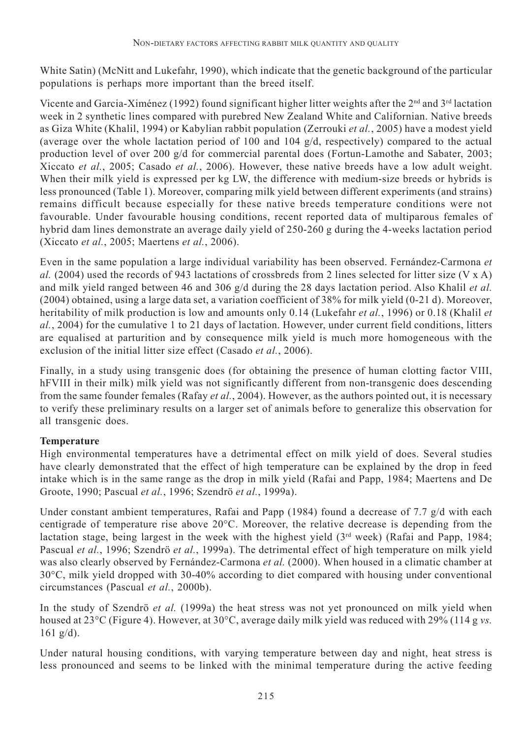White Satin) (McNitt and Lukefahr, 1990), which indicate that the genetic background of the particular populations is perhaps more important than the breed itself.

Vicente and Garcia-Ximénez (1992) found significant higher litter weights after the 2<sup>nd</sup> and 3<sup>rd</sup> lactation week in 2 synthetic lines compared with purebred New Zealand White and Californian. Native breeds as Giza White (Khalil, 1994) or Kabylian rabbit population (Zerrouki *et al.*, 2005) have a modest yield (average over the whole lactation period of 100 and 104 g/d, respectively) compared to the actual production level of over 200 g/d for commercial parental does (Fortun-Lamothe and Sabater, 2003; Xiccato *et al.*, 2005; Casado *et al.*, 2006). However, these native breeds have a low adult weight. When their milk yield is expressed per kg LW, the difference with medium-size breeds or hybrids is less pronounced (Table 1). Moreover, comparing milk yield between different experiments (and strains) remains difficult because especially for these native breeds temperature conditions were not favourable. Under favourable housing conditions, recent reported data of multiparous females of hybrid dam lines demonstrate an average daily yield of 250-260 g during the 4-weeks lactation period (Xiccato *et al.*, 2005; Maertens *et al.*, 2006).

Even in the same population a large individual variability has been observed. Fernández-Carmona *et al.* (2004) used the records of 943 lactations of crossbreds from 2 lines selected for litter size (V x A) and milk yield ranged between 46 and 306 g/d during the 28 days lactation period. Also Khalil *et al.* (2004) obtained, using a large data set, a variation coefficient of 38% for milk yield (0-21 d). Moreover, heritability of milk production is low and amounts only 0.14 (Lukefahr *et al.*, 1996) or 0.18 (Khalil *et al.*, 2004) for the cumulative 1 to 21 days of lactation. However, under current field conditions, litters are equalised at parturition and by consequence milk yield is much more homogeneous with the exclusion of the initial litter size effect (Casado *et al.*, 2006).

Finally, in a study using transgenic does (for obtaining the presence of human clotting factor VIII, hFVIII in their milk) milk yield was not significantly different from non-transgenic does descending from the same founder females (Rafay *et al.*, 2004). However, as the authors pointed out, it is necessary to verify these preliminary results on a larger set of animals before to generalize this observation for all transgenic does.

## **Temperature**

High environmental temperatures have a detrimental effect on milk yield of does. Several studies have clearly demonstrated that the effect of high temperature can be explained by the drop in feed intake which is in the same range as the drop in milk yield (Rafai and Papp, 1984; Maertens and De Groote, 1990; Pascual *et al.*, 1996; Szendrö *et al.*, 1999a).

Under constant ambient temperatures, Rafai and Papp (1984) found a decrease of 7.7 g/d with each centigrade of temperature rise above 20°C. Moreover, the relative decrease is depending from the lactation stage, being largest in the week with the highest yield  $(3<sup>rd</sup> week)$  (Rafai and Papp, 1984; Pascual *et al.*, 1996; Szendrö *et al.*, 1999a). The detrimental effect of high temperature on milk yield was also clearly observed by Fernández-Carmona *et al.* (2000). When housed in a climatic chamber at 30°C, milk yield dropped with 30-40% according to diet compared with housing under conventional circumstances (Pascual *et al.*, 2000b).

In the study of Szendrö *et al.* (1999a) the heat stress was not yet pronounced on milk yield when housed at 23°C (Figure 4). However, at 30°C, average daily milk yield was reduced with 29% (114 g *vs.* 161 g/d).

Under natural housing conditions, with varying temperature between day and night, heat stress is less pronounced and seems to be linked with the minimal temperature during the active feeding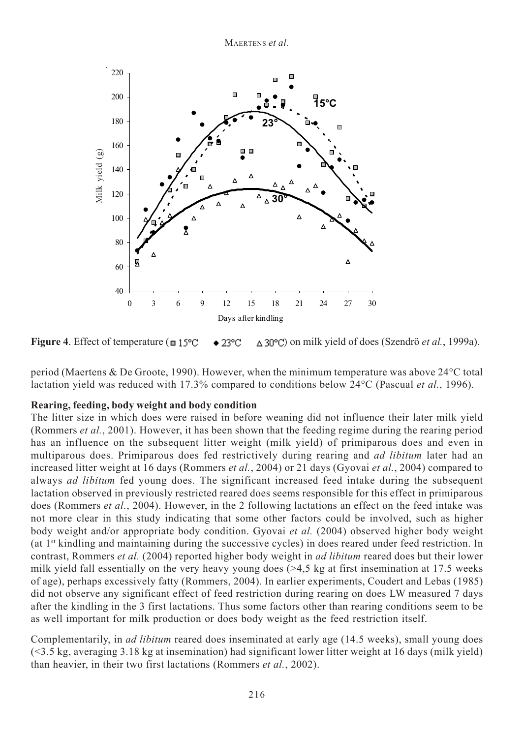

**Figure 4**. Effect of temperature ( $\equiv 15^{\circ}\text{C}$   $\rightarrow 23^{\circ}\text{C}$   $\Delta 30^{\circ}\text{C}$ ) on milk yield of does (Szendrö *et al.*, 1999a).

period (Maertens & De Groote, 1990). However, when the minimum temperature was above 24°C total lactation yield was reduced with 17.3% compared to conditions below 24°C (Pascual *et al.*, 1996).

#### **Rearing, feeding, body weight and body condition**

The litter size in which does were raised in before weaning did not influence their later milk yield (Rommers *et al.*, 2001). However, it has been shown that the feeding regime during the rearing period has an influence on the subsequent litter weight (milk yield) of primiparous does and even in multiparous does. Primiparous does fed restrictively during rearing and *ad libitum* later had an increased litter weight at 16 days (Rommers *et al.*, 2004) or 21 days (Gyovai *et al.*, 2004) compared to always *ad libitum* fed young does. The significant increased feed intake during the subsequent lactation observed in previously restricted reared does seems responsible for this effect in primiparous does (Rommers *et al.*, 2004). However, in the 2 following lactations an effect on the feed intake was not more clear in this study indicating that some other factors could be involved, such as higher body weight and/or appropriate body condition. Gyovai *et al.* (2004) observed higher body weight (at  $1<sup>st</sup>$  kindling and maintaining during the successive cycles) in does reared under feed restriction. In contrast, Rommers *et al.* (2004) reported higher body weight in *ad libitum* reared does but their lower milk yield fall essentially on the very heavy young does  $(>4.5 \text{ kg at first insertion at } 17.5 \text{ weeks})$ of age), perhaps excessively fatty (Rommers, 2004). In earlier experiments, Coudert and Lebas (1985) did not observe any significant effect of feed restriction during rearing on does LW measured 7 days after the kindling in the 3 first lactations. Thus some factors other than rearing conditions seem to be as well important for milk production or does body weight as the feed restriction itself. **EXAMPLE 12**<br>  $\frac{3}{2}$   $\frac{3}{2}$   $\frac{4}{2}$   $\frac{4}{2}$   $\frac{4}{2}$   $\frac{4}{2}$   $\frac{4}{2}$   $\frac{4}{2}$   $\frac{4}{2}$   $\frac{4}{2}$   $\frac{4}{2}$   $\frac{4}{2}$   $\frac{4}{2}$   $\frac{4}{2}$   $\frac{4}{2}$   $\frac{4}{2}$   $\frac{4}{2}$   $\frac{4}{2}$   $\frac{4}{2}$   $\frac{4}{2}$   $\frac{4}{2$ 

Complementarily, in *ad libitum* reared does inseminated at early age (14.5 weeks), small young does (<3.5 kg, averaging 3.18 kg at insemination) had significant lower litter weight at 16 days (milk yield)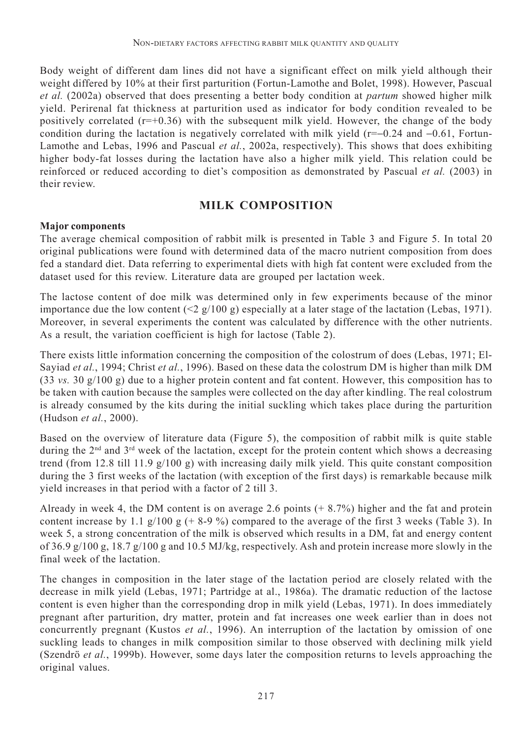Body weight of different dam lines did not have a significant effect on milk yield although their weight differed by 10% at their first parturition (Fortun-Lamothe and Bolet, 1998). However, Pascual *et al.* (2002a) observed that does presenting a better body condition at *partum* showed higher milk yield. Perirenal fat thickness at parturition used as indicator for body condition revealed to be positively correlated  $(r=+0.36)$  with the subsequent milk yield. However, the change of the body condition during the lactation is negatively correlated with milk yield (r=−0.24 and −0.61, Fortun-Lamothe and Lebas, 1996 and Pascual *et al.*, 2002a, respectively). This shows that does exhibiting higher body-fat losses during the lactation have also a higher milk yield. This relation could be reinforced or reduced according to diet's composition as demonstrated by Pascual *et al.* (2003) in their review.

### **MILK COMPOSITION**

#### **Major components**

The average chemical composition of rabbit milk is presented in Table 3 and Figure 5. In total 20 original publications were found with determined data of the macro nutrient composition from does fed a standard diet. Data referring to experimental diets with high fat content were excluded from the dataset used for this review. Literature data are grouped per lactation week.

The lactose content of doe milk was determined only in few experiments because of the minor importance due the low content  $(2g/100 g)$  especially at a later stage of the lactation (Lebas, 1971). Moreover, in several experiments the content was calculated by difference with the other nutrients. As a result, the variation coefficient is high for lactose (Table 2).

There exists little information concerning the composition of the colostrum of does (Lebas, 1971; El-Sayiad *et al.*, 1994; Christ *et al.*, 1996). Based on these data the colostrum DM is higher than milk DM (33 *vs.* 30 g/100 g) due to a higher protein content and fat content. However, this composition has to be taken with caution because the samples were collected on the day after kindling. The real colostrum is already consumed by the kits during the initial suckling which takes place during the parturition (Hudson *et al.*, 2000).

Based on the overview of literature data (Figure 5), the composition of rabbit milk is quite stable during the 2<sup>nd</sup> and 3<sup>rd</sup> week of the lactation, except for the protein content which shows a decreasing trend (from 12.8 till 11.9 g/100 g) with increasing daily milk yield. This quite constant composition during the 3 first weeks of the lactation (with exception of the first days) is remarkable because milk yield increases in that period with a factor of 2 till 3.

Already in week 4, the DM content is on average 2.6 points (+ 8.7%) higher and the fat and protein content increase by 1.1  $g/100 g$  (+8-9%) compared to the average of the first 3 weeks (Table 3). In week 5, a strong concentration of the milk is observed which results in a DM, fat and energy content of 36.9 g/100 g, 18.7 g/100 g and 10.5 MJ/kg, respectively. Ash and protein increase more slowly in the final week of the lactation.

The changes in composition in the later stage of the lactation period are closely related with the decrease in milk yield (Lebas, 1971; Partridge at al., 1986a). The dramatic reduction of the lactose content is even higher than the corresponding drop in milk yield (Lebas, 1971). In does immediately pregnant after parturition, dry matter, protein and fat increases one week earlier than in does not concurrently pregnant (Kustos *et al.*, 1996). An interruption of the lactation by omission of one suckling leads to changes in milk composition similar to those observed with declining milk yield (Szendrö *et al.*, 1999b). However, some days later the composition returns to levels approaching the original values.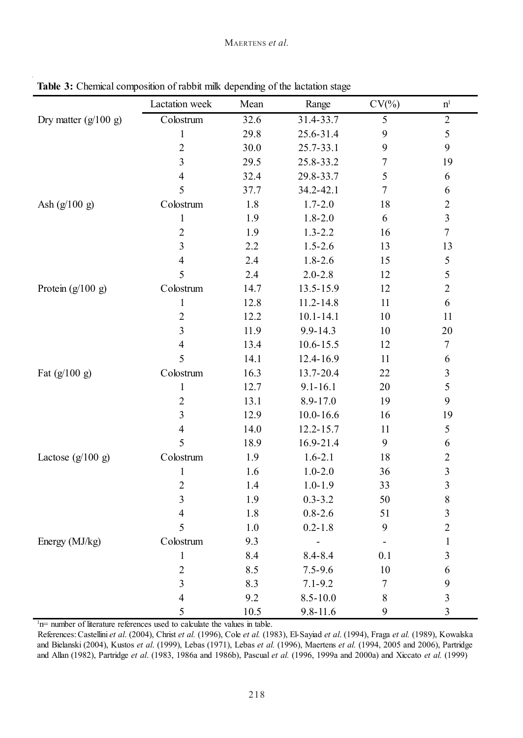|                        | Lactation week                                                   | Mean  | Range         | $CV(\% )$        | $\mathbf{n}^{\text{l}}$ |
|------------------------|------------------------------------------------------------------|-------|---------------|------------------|-------------------------|
| Dry matter $(g/100 g)$ | Colostrum                                                        | 32.6  | $31.4 - 33.7$ | $\overline{5}$   | $\boldsymbol{2}$        |
|                        | $\,1$                                                            | 29.8  | 25.6-31.4     | 9                | 5                       |
|                        | $\overline{2}$                                                   | 30.0  | 25.7-33.1     | 9                | 9                       |
|                        | $\overline{\mathbf{3}}$                                          | 29.5  | 25.8-33.2     | $\boldsymbol{7}$ | 19                      |
|                        | $\overline{\mathcal{L}}$                                         | 32.4  | 29.8-33.7     | 5                | 6                       |
|                        | 5                                                                | 37.7  | 34.2-42.1     | $\tau$           | $\boldsymbol{6}$        |
| Ash $(g/100 g)$        | Colostrum                                                        | 1.8   | $1.7 - 2.0$   | 18               | $\sqrt{2}$              |
|                        | $\,1\,$                                                          | 1.9   | $1.8 - 2.0$   | 6                | $\overline{3}$          |
|                        | $\mathfrak{2}% _{T}=\mathfrak{2}_{T}\!\left( T_{T_{1}}\right) ,$ | 1.9   | $1.3 - 2.2$   | 16               | $\overline{7}$          |
|                        | $\overline{3}$                                                   | 2.2   | $1.5 - 2.6$   | 13               | 13                      |
|                        | $\overline{\mathcal{L}}$                                         | 2.4   | $1.8 - 2.6$   | 15               | $\sqrt{5}$              |
|                        | 5                                                                | 2.4   | $2.0 - 2.8$   | 12               | 5                       |
| Protein $(g/100 g)$    | Colostrum                                                        | 14.7  | 13.5-15.9     | 12               | $\overline{c}$          |
|                        | $\,1\,$                                                          | 12.8  | $11.2 - 14.8$ | 11               | 6                       |
|                        | $\overline{2}$                                                   | 12.2  | $10.1 - 14.1$ | 10               | 11                      |
|                        | $\overline{3}$                                                   | 11.9  | 9.9-14.3      | 10               | 20                      |
|                        | $\overline{4}$                                                   | 13.4  | $10.6 - 15.5$ | 12               | $\tau$                  |
|                        | 5                                                                | 14.1  | 12.4-16.9     | 11               | $\boldsymbol{6}$        |
| Fat $(g/100 g)$        | Colostrum                                                        | 16.3  | 13.7-20.4     | 22               | $\mathfrak{Z}$          |
|                        | $\mathbf{1}$                                                     | 12.7  | $9.1 - 16.1$  | 20               | 5                       |
|                        | $\overline{2}$                                                   | 13.1  | 8.9-17.0      | 19               | 9                       |
|                        | $\overline{3}$                                                   | 12.9  | $10.0 - 16.6$ | 16               | 19                      |
|                        | $\overline{4}$                                                   | 14.0  | 12.2-15.7     | 11               | $\sqrt{5}$              |
|                        | 5                                                                | 18.9  | 16.9-21.4     | 9                | $\sqrt{6}$              |
| Lactose $(g/100 g)$    | Colostrum                                                        | 1.9   | $1.6 - 2.1$   | 18               | $\sqrt{2}$              |
|                        | $\,1\,$                                                          | 1.6   | $1.0 - 2.0$   | 36               | $\overline{3}$          |
|                        | $\overline{2}$                                                   | 1.4   | $1.0 - 1.9$   | 33               | $\overline{3}$          |
|                        | $\overline{3}$                                                   | 1.9   | $0.3 - 3.2$   | 50               | $\,8$                   |
|                        | $\overline{4}$                                                   | 1.8   | $0.8 - 2.6$   | 51               | $\overline{3}$          |
|                        | 5                                                                | $1.0$ | $0.2 - 1.8$   | 9                | $\overline{2}$          |
| Energy (MJ/kg)         | Colostrum                                                        | 9.3   |               |                  | $\mathbf{1}$            |
|                        | $\mathbf{1}$                                                     | 8.4   | $8.4 - 8.4$   | 0.1              | $\overline{3}$          |
|                        | $\overline{c}$                                                   | 8.5   | $7.5 - 9.6$   | 10               | $\boldsymbol{6}$        |
|                        | $\overline{3}$                                                   | 8.3   | $7.1 - 9.2$   | $\tau$           | 9                       |
|                        | $\overline{4}$                                                   | 9.2   | $8.5 - 10.0$  | $\,8\,$          | $\overline{\mathbf{3}}$ |
|                        | 5                                                                | 10.5  | $9.8 - 11.6$  | 9                | $\overline{3}$          |

**Table 3:** Chemical composition of rabbit milk depending of the lactation stage

<sup>1</sup>n= number of literature references used to calculate the values in table.

References: Castellini *et al*. (2004), Christ *et al.* (1996), Cole *et al.* (1983), El-Sayiad *et al*. (1994), Fraga *et al.* (1989), Kowalska and Bielanski (2004), Kustos *et al*. (1999), Lebas (1971), Lebas *et al.* (1996), Maertens *et al.* (1994, 2005 and 2006), Partridge and Allan (1982), Partridge *et al*. (1983, 1986a and 1986b), Pascual *et al.* (1996, 1999a and 2000a) and Xiccato *et al.* (1999)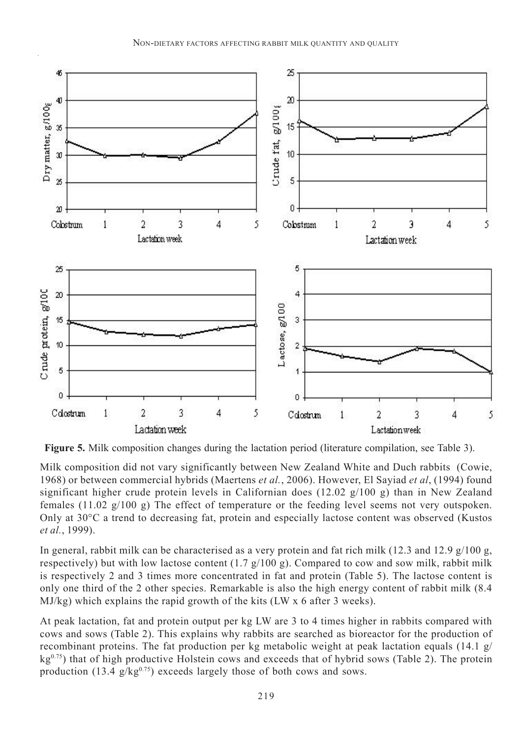

**Figure 5.** Milk composition changes during the lactation period (literature compilation, see Table 3).

Milk composition did not vary significantly between New Zealand White and Duch rabbits (Cowie, 1968) or between commercial hybrids (Maertens *et al.*, 2006). However, El Sayiad *et al*, (1994) found significant higher crude protein levels in Californian does (12.02 g/100 g) than in New Zealand females (11.02 g/100 g) The effect of temperature or the feeding level seems not very outspoken. Only at 30°C a trend to decreasing fat, protein and especially lactose content was observed (Kustos *et al.*, 1999).

In general, rabbit milk can be characterised as a very protein and fat rich milk (12.3 and 12.9 g/100 g, respectively) but with low lactose content  $(1.7 \text{ g}/100 \text{ g})$ . Compared to cow and sow milk, rabbit milk is respectively 2 and 3 times more concentrated in fat and protein (Table 5). The lactose content is only one third of the 2 other species. Remarkable is also the high energy content of rabbit milk (8.4 MJ/kg) which explains the rapid growth of the kits (LW x 6 after 3 weeks).

At peak lactation, fat and protein output per kg LW are 3 to 4 times higher in rabbits compared with cows and sows (Table 2). This explains why rabbits are searched as bioreactor for the production of recombinant proteins. The fat production per kg metabolic weight at peak lactation equals (14.1 g/  $kg<sup>0.75</sup>$ ) that of high productive Holstein cows and exceeds that of hybrid sows (Table 2). The protein production (13.4  $g/kg^{0.75}$ ) exceeds largely those of both cows and sows.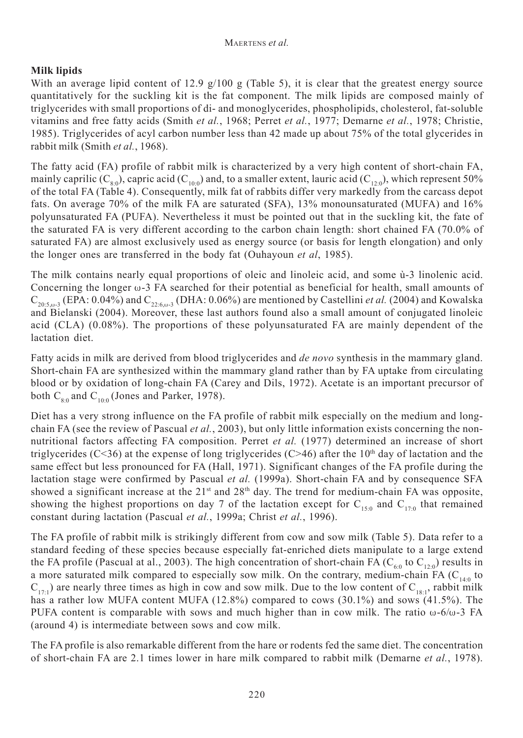## **Milk lipids**

With an average lipid content of 12.9  $g/100 g$  (Table 5), it is clear that the greatest energy source quantitatively for the suckling kit is the fat component. The milk lipids are composed mainly of triglycerides with small proportions of di- and monoglycerides, phospholipids, cholesterol, fat-soluble vitamins and free fatty acids (Smith *et al.*, 1968; Perret *et al.*, 1977; Demarne *et al.*, 1978; Christie, 1985). Triglycerides of acyl carbon number less than 42 made up about 75% of the total glycerides in rabbit milk (Smith *et al.*, 1968).

The fatty acid (FA) profile of rabbit milk is characterized by a very high content of short-chain FA, mainly caprilic  $(C_{8.0})$ , capric acid  $(C_{10.0})$  and, to a smaller extent, lauric acid  $(C_{12.0})$ , which represent 50% of the total FA (Table 4). Consequently, milk fat of rabbits differ very markedly from the carcass depot fats. On average 70% of the milk FA are saturated (SFA), 13% monounsaturated (MUFA) and 16% polyunsaturated FA (PUFA). Nevertheless it must be pointed out that in the suckling kit, the fate of the saturated FA is very different according to the carbon chain length: short chained FA (70.0% of saturated FA) are almost exclusively used as energy source (or basis for length elongation) and only the longer ones are transferred in the body fat (Ouhayoun *et al*, 1985).

The milk contains nearly equal proportions of oleic and linoleic acid, and some ù-3 linolenic acid. Concerning the longer  $\omega$ -3 FA searched for their potential as beneficial for health, small amounts of  $C_{20.5, \omega, 3}$  (EPA: 0.04%) and  $C_{22.6, \omega, 3}$  (DHA: 0.06%) are mentioned by Castellini *et al.* (2004) and Kowalska and Bielanski (2004). Moreover, these last authors found also a small amount of conjugated linoleic acid (CLA) (0.08%). The proportions of these polyunsaturated FA are mainly dependent of the lactation diet.

Fatty acids in milk are derived from blood triglycerides and *de novo* synthesis in the mammary gland. Short-chain FA are synthesized within the mammary gland rather than by FA uptake from circulating blood or by oxidation of long-chain FA (Carey and Dils, 1972). Acetate is an important precursor of both  $C_{8.0}$  and  $C_{10.0}$  (Jones and Parker, 1978).

Diet has a very strong influence on the FA profile of rabbit milk especially on the medium and longchain FA (see the review of Pascual *et al.*, 2003), but only little information exists concerning the nonnutritional factors affecting FA composition. Perret *et al.* (1977) determined an increase of short triglycerides (C<36) at the expense of long triglycerides (C>46) after the  $10<sup>th</sup>$  day of lactation and the same effect but less pronounced for FA (Hall, 1971). Significant changes of the FA profile during the lactation stage were confirmed by Pascual *et al.* (1999a). Short-chain FA and by consequence SFA showed a significant increase at the 21<sup>st</sup> and 28<sup>th</sup> day. The trend for medium-chain FA was opposite, showing the highest proportions on day 7 of the lactation except for  $C_{15:0}$  and  $C_{17:0}$  that remained constant during lactation (Pascual *et al.*, 1999a; Christ *et al.*, 1996).

The FA profile of rabbit milk is strikingly different from cow and sow milk (Table 5). Data refer to a standard feeding of these species because especially fat-enriched diets manipulate to a large extend the FA profile (Pascual at al., 2003). The high concentration of short-chain FA ( $C_{60}$  to  $C_{120}$ ) results in a more saturated milk compared to especially sow milk. On the contrary, medium-chain FA ( $C_{140}$  to  $C_{17:1}$ ) are nearly three times as high in cow and sow milk. Due to the low content of  $C_{18:1}$ , rabbit milk has a rather low MUFA content MUFA (12.8%) compared to cows (30.1%) and sows (41.5%). The PUFA content is comparable with sows and much higher than in cow milk. The ratio  $\omega$ -6/ $\omega$ -3 FA (around 4) is intermediate between sows and cow milk.

The FA profile is also remarkable different from the hare or rodents fed the same diet. The concentration of short-chain FA are 2.1 times lower in hare milk compared to rabbit milk (Demarne *et al.*, 1978).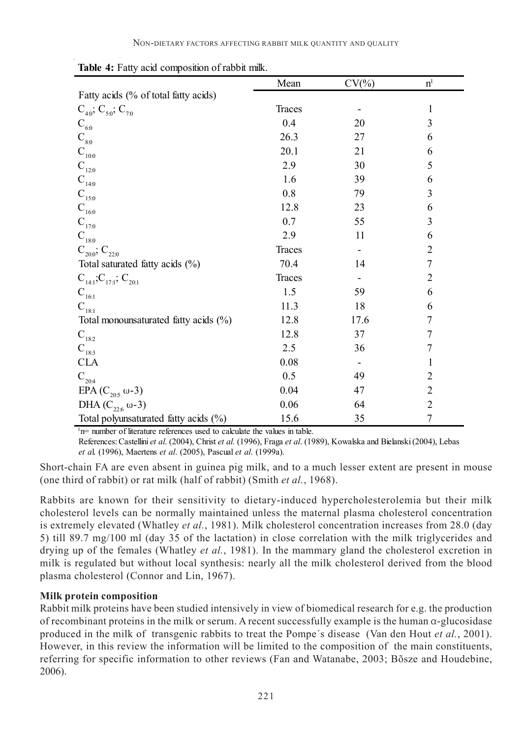|                                         | Mean   | $CV(\% )$ | $\mathbf{n}^{\text{l}}$ |
|-----------------------------------------|--------|-----------|-------------------------|
| Fatty acids (% of total fatty acids)    |        |           |                         |
| $C_{40}$ ; $C_{50}$ ; $C_{70}$          | Traces |           | 1                       |
| $\mathbf{C}_{_{60}}$                    | 0.4    | 20        | 3                       |
| $\mathrm{C}_{_{8.0}}$                   | 26.3   | 27        | 6                       |
| $\mathbf{C}_{10:0}$                     | 20.1   | 21        | 6                       |
| $\mathbf{C}_{_{12:0}}$                  | 2.9    | 30        | 5                       |
| $\mathbf{C}_{_{14:0}}$                  | 1.6    | 39        | 6                       |
| $\mathbf{C}_{_{15:0}}$                  | 0.8    | 79        | $\overline{\mathbf{3}}$ |
| $\mathbf{C}_{_{16:0}}$                  | 12.8   | 23        | 6                       |
| $\mathbf{C}_{_{17:0}}$                  | 0.7    | 55        | $\overline{\mathbf{3}}$ |
| $\mathbf{C}_{_{18:0}}$                  | 2.9    | 11        | 6                       |
| $C_{20.0}$ , $C_{22.0}$                 | Traces |           | 2                       |
| Total saturated fatty acids (%)         | 70.4   | 14        | $\overline{7}$          |
| $C_{14:1}$ ; $C_{17:1}$ ; $C_{20:1}$    | Traces |           | $\overline{c}$          |
| $\mathbf{C}_{\scriptscriptstyle{16:1}}$ | 1.5    | 59        | 6                       |
| $\mathbf{C}_{_{18:1}}$                  | 11.3   | 18        | 6                       |
| Total monounsaturated fatty acids (%)   | 12.8   | 17.6      | 7                       |
| $\mathbf{C}_{18:2}$                     | 12.8   | 37        | 7                       |
| $C_{183}$                               | 2.5    | 36        | 7                       |
| <b>CLA</b>                              | 0.08   |           | 1                       |
| $\mathbf{C}_{_{20:4}}$                  | 0.5    | 49        | 2                       |
| EPA ( $C_{205}$ ω-3)                    | 0.04   | 47        | $\overline{2}$          |
| DHA $(C_{22.6} \omega - 3)$             | 0.06   | 64        | $\boldsymbol{2}$        |
| Total polyunsaturated fatty acids (%)   | 15.6   | 35        | $\overline{7}$          |

**Table 4:** Fatty acid composition of rabbit milk.

<sup>1</sup>n= number of literature references used to calculate the values in table.

References: Castellini *et al*. (2004), Christ *et al.* (1996), Fraga *et al*. (1989), Kowalska and Bielanski (2004), Lebas *et a*l. (1996), Maertens *et al*. (2005), Pascual *et al*. (1999a).

Short-chain FA are even absent in guinea pig milk, and to a much lesser extent are present in mouse (one third of rabbit) or rat milk (half of rabbit) (Smith *et al.*, 1968).

Rabbits are known for their sensitivity to dietary-induced hypercholesterolemia but their milk cholesterol levels can be normally maintained unless the maternal plasma cholesterol concentration is extremely elevated (Whatley *et al.*, 1981). Milk cholesterol concentration increases from 28.0 (day 5) till 89.7 mg/100 ml (day 35 of the lactation) in close correlation with the milk triglycerides and drying up of the females (Whatley *et al.*, 1981). In the mammary gland the cholesterol excretion in milk is regulated but without local synthesis: nearly all the milk cholesterol derived from the blood plasma cholesterol (Connor and Lin, 1967).

#### **Milk protein composition**

Rabbit milk proteins have been studied intensively in view of biomedical research for e.g. the production of recombinant proteins in the milk or serum. A recent successfully example is the human  $\alpha$ -glucosidase produced in the milk of transgenic rabbits to treat the Pompe´s disease (Van den Hout *et al.*, 2001). However, in this review the information will be limited to the composition of the main constituents, referring for specific information to other reviews (Fan and Watanabe, 2003; Bõsze and Houdebine, 2006).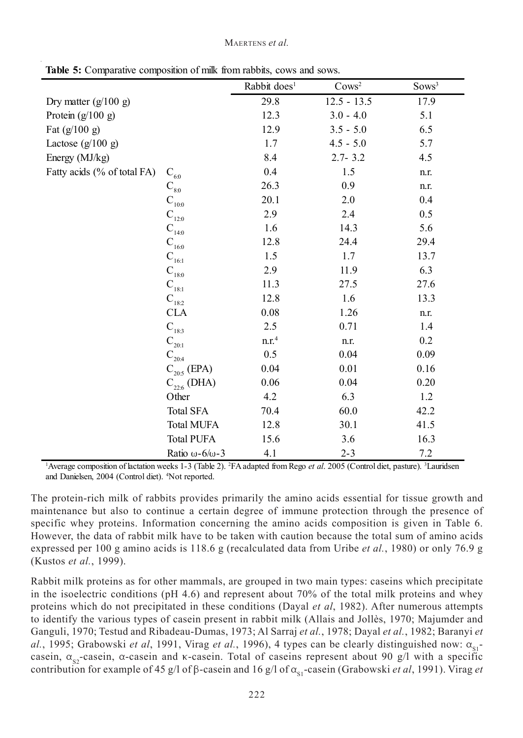|  | <b>Table 5:</b> Comparative composition of milk from rabbits, cows and sows. |  |  |
|--|------------------------------------------------------------------------------|--|--|
|  |                                                                              |  |  |

|                             |                                         | Rabbit does <sup>1</sup> | Cows <sup>2</sup> | Sows <sup>3</sup> |
|-----------------------------|-----------------------------------------|--------------------------|-------------------|-------------------|
| Dry matter $(g/100 g)$      |                                         | 29.8                     | $12.5 - 13.5$     | 17.9              |
| Protein $(g/100 g)$         |                                         | 12.3                     | $3.0 - 4.0$       | 5.1               |
| Fat $(g/100 g)$             |                                         | 12.9                     | $3.5 - 5.0$       | 6.5               |
| Lactose $(g/100 g)$         |                                         | 1.7                      | $4.5 - 5.0$       | 5.7               |
| Energy (MJ/kg)              |                                         | 8.4                      | $2.7 - 3.2$       | 4.5               |
| Fatty acids (% of total FA) | $\mathbf{C}_{_{6:0}}$                   | 0.4                      | 1.5               | n.r.              |
|                             | $\mathbf{C}_{_{8:0}}$                   | 26.3                     | 0.9               | n.r.              |
|                             | $\mathbf{C}_{_{10:0}}$                  | 20.1                     | 2.0               | 0.4               |
|                             | $\mathbf{C}_{_{12:0}}$                  | 2.9                      | 2.4               | 0.5               |
|                             | $\mathbf{C}_{_{14:0}}$                  | 1.6                      | 14.3              | 5.6               |
|                             | $\mathbf{C}_{_{16:0}}$                  | 12.8                     | 24.4              | 29.4              |
|                             | $\mathbf{C}_{\scriptscriptstyle{16:1}}$ | 1.5                      | 1.7               | 13.7              |
|                             | $\mathbf{C}_{_{18:0}}$                  | 2.9                      | 11.9              | 6.3               |
|                             | $\mathbf{C}_{\scriptscriptstyle{18:1}}$ | 11.3                     | 27.5              | 27.6              |
|                             | $C_{18.2}$                              | 12.8                     | 1.6               | 13.3              |
|                             | <b>CLA</b>                              | 0.08                     | 1.26              | n.r.              |
|                             | $\mathbf{C}_{_{183}}$                   | 2.5                      | 0.71              | 1.4               |
|                             | $\mathbf{C}_{_{20:1}}$                  | n.r. <sup>4</sup>        | n.r.              | 0.2               |
|                             | $\mathbf{C}_{_{20:4}}$                  | 0.5                      | 0.04              | 0.09              |
|                             | $C_{20:5}$ (EPA)                        | 0.04                     | 0.01              | 0.16              |
|                             | $C_{22.6}$ (DHA)                        | 0.06                     | 0.04              | 0.20              |
|                             | Other                                   | 4.2                      | 6.3               | 1.2               |
|                             | <b>Total SFA</b>                        | 70.4                     | 60.0              | 42.2              |
|                             | <b>Total MUFA</b>                       | 12.8                     | 30.1              | 41.5              |
|                             | <b>Total PUFA</b>                       | 15.6                     | 3.6               | 16.3              |
|                             | Ratio $\omega$ -6/ $\omega$ -3          | 4.1                      | $2 - 3$           | 7.2               |

<sup>1</sup>Average composition of lactation weeks 1-3 (Table 2). <sup>2</sup>FA adapted from Rego *et al.* 2005 (Control diet, pasture). <sup>3</sup>Lauridsen and Danielsen, 2004 (Control diet). 4 Not reported.

The protein-rich milk of rabbits provides primarily the amino acids essential for tissue growth and maintenance but also to continue a certain degree of immune protection through the presence of specific whey proteins. Information concerning the amino acids composition is given in Table 6. However, the data of rabbit milk have to be taken with caution because the total sum of amino acids expressed per 100 g amino acids is 118.6 g (recalculated data from Uribe *et al.*, 1980) or only 76.9 g (Kustos *et al.*, 1999).

Rabbit milk proteins as for other mammals, are grouped in two main types: caseins which precipitate in the isoelectric conditions ( $pH 4.6$ ) and represent about 70% of the total milk proteins and whey proteins which do not precipitated in these conditions (Dayal *et al*, 1982). After numerous attempts to identify the various types of casein present in rabbit milk (Allais and Jollès, 1970; Majumder and Ganguli, 1970; Testud and Ribadeau-Dumas, 1973; Al Sarraj *et al.*, 1978; Dayal *et al.*, 1982; Baranyi *et* al., 1995; Grabowski et al, 1991, Virag et al., 1996), 4 types can be clearly distinguished now:  $\alpha_{s1}$ casein,  $\alpha_{\rm c}$ -casein,  $\alpha$ -casein and k-casein. Total of caseins represent about 90 g/l with a specific contribution for example of 45 g/l of  $\beta$ -casein and 16 g/l of  $\alpha_{\rm s1}$ -casein (Grabowski *et al*, 1991). Virag *et*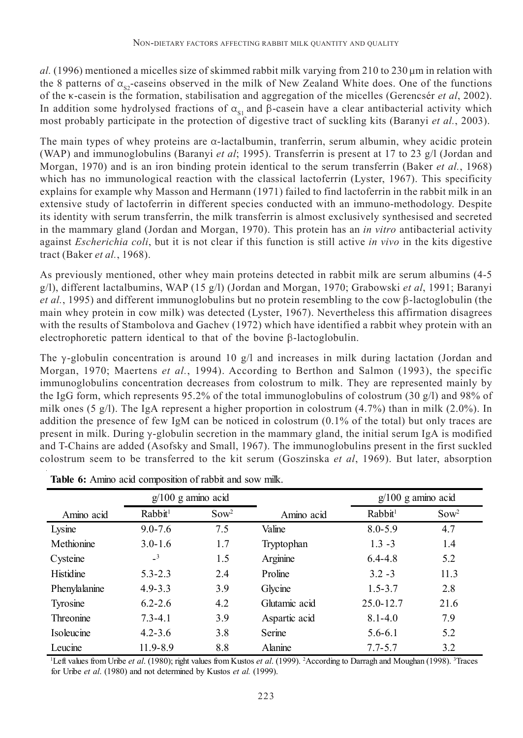$a$ . (1996) mentioned a micelles size of skimmed rabbit milk varying from 210 to 230  $\mu$ m in relation with the 8 patterns of  $\alpha_{\rm s}$ -caseins observed in the milk of New Zealand White does. One of the functions of the k-casein is the formation, stabilisation and aggregation of the micelles (Gerencsér *et al*, 2002). In addition some hydrolysed fractions of  $\alpha_s$ , and  $\beta$ -casein have a clear antibacterial activity which most probably participate in the protection of digestive tract of suckling kits (Baranyi *et al.*, 2003).

The main types of whey proteins are  $\alpha$ -lactalbumin, tranferrin, serum albumin, whey acidic protein (WAP) and immunoglobulins (Baranyi *et al*; 1995). Transferrin is present at 17 to 23 g/l (Jordan and Morgan, 1970) and is an iron binding protein identical to the serum transferrin (Baker *et al.*, 1968) which has no immunological reaction with the classical lactoferrin (Lyster, 1967). This specificity explains for example why Masson and Hermann (1971) failed to find lactoferrin in the rabbit milk in an extensive study of lactoferrin in different species conducted with an immuno-methodology. Despite its identity with serum transferrin, the milk transferrin is almost exclusively synthesised and secreted in the mammary gland (Jordan and Morgan, 1970). This protein has an *in vitro* antibacterial activity against *Escherichia coli*, but it is not clear if this function is still active *in vivo* in the kits digestive tract (Baker *et al.*, 1968).

As previously mentioned, other whey main proteins detected in rabbit milk are serum albumins (4-5 g/l), different lactalbumins, WAP (15 g/l) (Jordan and Morgan, 1970; Grabowski *et al*, 1991; Baranyi *et al.*, 1995) and different immunoglobulins but no protein resembling to the cow  $\beta$ -lactoglobulin (the main whey protein in cow milk) was detected (Lyster, 1967). Nevertheless this affirmation disagrees with the results of Stambolova and Gachev (1972) which have identified a rabbit whey protein with an electrophoretic pattern identical to that of the bovine  $\beta$ -lactoglobulin.

The y-globulin concentration is around 10  $g/l$  and increases in milk during lactation (Jordan and Morgan, 1970; Maertens *et al.*, 1994). According to Berthon and Salmon (1993), the specific immunoglobulins concentration decreases from colostrum to milk. They are represented mainly by the IgG form, which represents 95.2% of the total immunoglobulins of colostrum (30 g/l) and 98% of milk ones (5 g/l). The IgA represent a higher proportion in colostrum  $(4.7%)$  than in milk  $(2.0%)$ . In addition the presence of few IgM can be noticed in colostrum (0.1% of the total) but only traces are present in milk. During y-globulin secretion in the mammary gland, the initial serum IgA is modified and T-Chains are added (Asofsky and Small, 1967). The immunoglobulins present in the first suckled colostrum seem to be transferred to the kit serum (Goszinska *et al*, 1969). But later, absorption

|                  | $g/100$ g amino acid       |                  |               |                     | $g/100$ g amino acid |  |
|------------------|----------------------------|------------------|---------------|---------------------|----------------------|--|
| Amino acid       | Rabbit <sup>1</sup>        | Sow <sup>2</sup> | Amino acid    | Rabbit <sup>1</sup> | Sow <sup>2</sup>     |  |
| Lysine           | $9.0 - 7.6$                | 7.5              | Valine        | $8.0 - 5.9$         | 4.7                  |  |
| Methionine       | $3.0 - 1.6$                | 1.7              | Tryptophan    | $1.3 - 3$           | 1.4                  |  |
| Cysteine         | $\overline{\phantom{0}}^3$ | 1.5              | Arginine      | $6.4 - 4.8$         | 5.2                  |  |
| Histidine        | $5.3 - 2.3$                | 2.4              | Proline       | $3.2 - 3$           | 11.3                 |  |
| Phenylalanine    | $4.9 - 3.3$                | 3.9              | Glycine       | $1.5 - 3.7$         | 2.8                  |  |
| Tyrosine         | $6.2 - 2.6$                | 4.2              | Glutamic acid | $25.0 - 12.7$       | 21.6                 |  |
| <b>Threonine</b> | $7.3 - 4.1$                | 3.9              | Aspartic acid | $8.1 - 4.0$         | 7.9                  |  |
| Isoleucine       | $4.2 - 3.6$                | 3.8              | Serine        | $5.6 - 6.1$         | 5.2                  |  |
| Leucine          | 11.9-8.9                   | 8.8              | Alanine       | $7.7 - 5.7$         | 3.2                  |  |

**Table 6:** Amino acid composition of rabbit and sow milk.

<sup>1</sup>Left values from Uribe *et al.* (1980); right values from Kustos *et al.* (1999). <sup>2</sup>According to Darragh and Moughan (1998). <sup>3</sup>Traces for Uribe *et al*. (1980) and not determined by Kustos *et al.* (1999).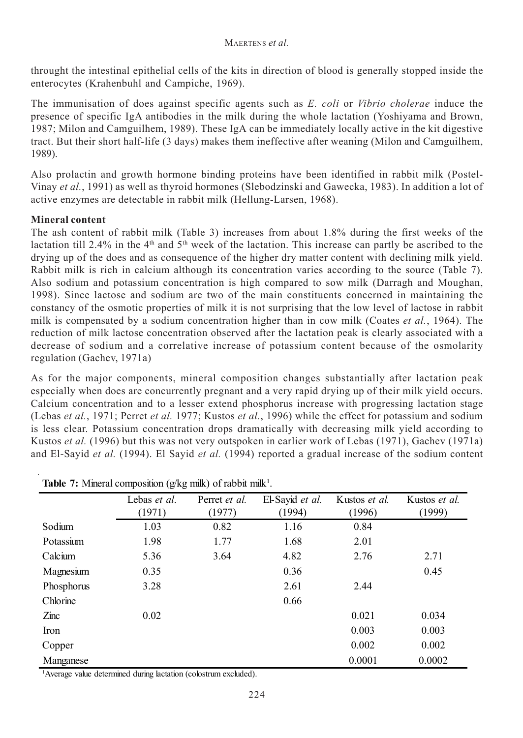throught the intestinal epithelial cells of the kits in direction of blood is generally stopped inside the enterocytes (Krahenbuhl and Campiche, 1969).

The immunisation of does against specific agents such as *E. coli* or *Vibrio cholerae* induce the presence of specific IgA antibodies in the milk during the whole lactation (Yoshiyama and Brown, 1987; Milon and Camguilhem, 1989). These IgA can be immediately locally active in the kit digestive tract. But their short half-life (3 days) makes them ineffective after weaning (Milon and Camguilhem, 1989).

Also prolactin and growth hormone binding proteins have been identified in rabbit milk (Postel-Vinay *et al.*, 1991) as well as thyroid hormones (Slebodzinski and Gawecka, 1983). In addition a lot of active enzymes are detectable in rabbit milk (Hellung-Larsen, 1968).

### **Mineral content**

The ash content of rabbit milk (Table 3) increases from about 1.8% during the first weeks of the lactation till 2.4% in the 4<sup>th</sup> and 5<sup>th</sup> week of the lactation. This increase can partly be ascribed to the drying up of the does and as consequence of the higher dry matter content with declining milk yield. Rabbit milk is rich in calcium although its concentration varies according to the source (Table 7). Also sodium and potassium concentration is high compared to sow milk (Darragh and Moughan, 1998). Since lactose and sodium are two of the main constituents concerned in maintaining the constancy of the osmotic properties of milk it is not surprising that the low level of lactose in rabbit milk is compensated by a sodium concentration higher than in cow milk (Coates *et al.*, 1964). The reduction of milk lactose concentration observed after the lactation peak is clearly associated with a decrease of sodium and a correlative increase of potassium content because of the osmolarity regulation (Gachev, 1971a)

As for the major components, mineral composition changes substantially after lactation peak especially when does are concurrently pregnant and a very rapid drying up of their milk yield occurs. Calcium concentration and to a lesser extend phosphorus increase with progressing lactation stage (Lebas *et al.*, 1971; Perret *et al.* 1977; Kustos *et al.*, 1996) while the effect for potassium and sodium is less clear. Potassium concentration drops dramatically with decreasing milk yield according to Kustos *et al.* (1996) but this was not very outspoken in earlier work of Lebas (1971), Gachev (1971a) and El-Sayid *et al.* (1994). El Sayid *et al.* (1994) reported a gradual increase of the sodium content

|                 | Lebas et al.<br>(1971) | Perret et al.<br>(1977) | El-Sayid et al.<br>(1994) | Kustos et al.<br>(1996) | Kustos et al.<br>(1999) |
|-----------------|------------------------|-------------------------|---------------------------|-------------------------|-------------------------|
|                 |                        |                         |                           |                         |                         |
| Sodium          | 1.03                   | 0.82                    | 1.16                      | 0.84                    |                         |
| Potassium       | 1.98                   | 1.77                    | 1.68                      | 2.01                    |                         |
| Calcium         | 5.36                   | 3.64                    | 4.82                      | 2.76                    | 2.71                    |
| Magnesium       | 0.35                   |                         | 0.36                      |                         | 0.45                    |
| Phosphorus      | 3.28                   |                         | 2.61                      | 2.44                    |                         |
| Chlorine        |                        |                         | 0.66                      |                         |                         |
| $\mathsf{Zinc}$ | 0.02                   |                         |                           | 0.021                   | 0.034                   |
| Iron            |                        |                         |                           | 0.003                   | 0.003                   |
| Copper          |                        |                         |                           | 0.002                   | 0.002                   |
| Manganese       |                        |                         |                           | 0.0001                  | 0.0002                  |

**Table 7:** Mineral composition (g/kg milk) of rabbit milk<sup>1</sup>.

1 Average value determined during lactation (colostrum excluded).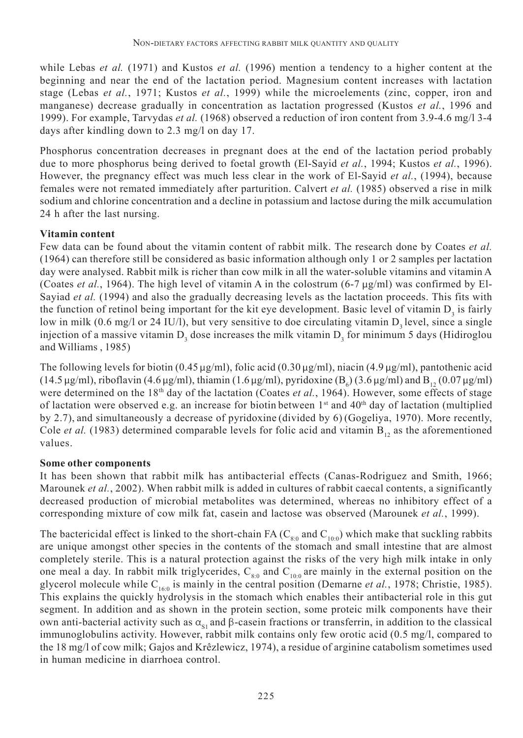while Lebas *et al.* (1971) and Kustos *et al.* (1996) mention a tendency to a higher content at the beginning and near the end of the lactation period. Magnesium content increases with lactation stage (Lebas *et al.*, 1971; Kustos *et al.*, 1999) while the microelements (zinc, copper, iron and manganese) decrease gradually in concentration as lactation progressed (Kustos *et al.*, 1996 and 1999). For example, Tarvydas *et al.* (1968) observed a reduction of iron content from 3.9-4.6 mg/l 3-4 days after kindling down to 2.3 mg/l on day 17.

Phosphorus concentration decreases in pregnant does at the end of the lactation period probably due to more phosphorus being derived to foetal growth (El-Sayid *et al.*, 1994; Kustos *et al.*, 1996). However, the pregnancy effect was much less clear in the work of El-Sayid *et al.*, (1994), because females were not remated immediately after parturition. Calvert *et al.* (1985) observed a rise in milk sodium and chlorine concentration and a decline in potassium and lactose during the milk accumulation 24 h after the last nursing.

## **Vitamin content**

Few data can be found about the vitamin content of rabbit milk. The research done by Coates *et al.* (1964) can therefore still be considered as basic information although only 1 or 2 samples per lactation day were analysed. Rabbit milk is richer than cow milk in all the water-soluble vitamins and vitamin A (Coates *et al.*, 1964). The high level of vitamin A in the colostrum (6-7  $\mu$ g/ml) was confirmed by El-Sayiad *et al.* (1994) and also the gradually decreasing levels as the lactation proceeds. This fits with the function of retinol being important for the kit eye development. Basic level of vitamin  $D_3$  is fairly low in milk (0.6 mg/l or 24 IU/l), but very sensitive to doe circulating vitamin  $D_3$  level, since a single injection of a massive vitamin  $D_3$  dose increases the milk vitamin  $D_3$  for minimum 5 days (Hidiroglou and Williams , 1985)

The following levels for biotin (0.45  $\mu$ g/ml), folic acid (0.30  $\mu$ g/ml), niacin (4.9  $\mu$ g/ml), pantothenic acid (14.5 µg/ml), riboflavin (4.6 µg/ml), thiamin (1.6 µg/ml), pyridoxine (B<sub>6</sub>) (3.6 µg/ml) and B<sub>12</sub> (0.07 µg/ml) were determined on the 18<sup>th</sup> day of the lactation (Coates *et al.*, 1964). However, some effects of stage of lactation were observed e.g. an increase for biotin between  $1<sup>st</sup>$  and  $40<sup>th</sup>$  day of lactation (multiplied by 2.7), and simultaneously a decrease of pyridoxine (divided by 6) (Gogeliya, 1970). More recently, Cole *et al.* (1983) determined comparable levels for folic acid and vitamin  $B_{12}$  as the aforementioned values.

### **Some other components**

It has been shown that rabbit milk has antibacterial effects (Canas-Rodriguez and Smith, 1966; Marounek *et al.*, 2002). When rabbit milk is added in cultures of rabbit caecal contents, a significantly decreased production of microbial metabolites was determined, whereas no inhibitory effect of a corresponding mixture of cow milk fat, casein and lactose was observed (Marounek *et al.*, 1999).

The bactericidal effect is linked to the short-chain FA ( $C_{80}$  and  $C_{100}$ ) which make that suckling rabbits are unique amongst other species in the contents of the stomach and small intestine that are almost completely sterile. This is a natural protection against the risks of the very high milk intake in only one meal a day. In rabbit milk triglycerides,  $C_{8:0}$  and  $C_{10:0}$  are mainly in the external position on the glycerol molecule while  $C_{160}$  is mainly in the central position (Demarne *et al.*, 1978; Christie, 1985). This explains the quickly hydrolysis in the stomach which enables their antibacterial role in this gut segment. In addition and as shown in the protein section, some proteic milk components have their own anti-bacterial activity such as  $\alpha_{s1}$  and  $\beta$ -casein fractions or transferrin, in addition to the classical immunoglobulins activity. However, rabbit milk contains only few orotic acid (0.5 mg/l, compared to the 18 mg/l of cow milk; Gajos and Krêzlewicz, 1974), a residue of arginine catabolism sometimes used in human medicine in diarrhoea control.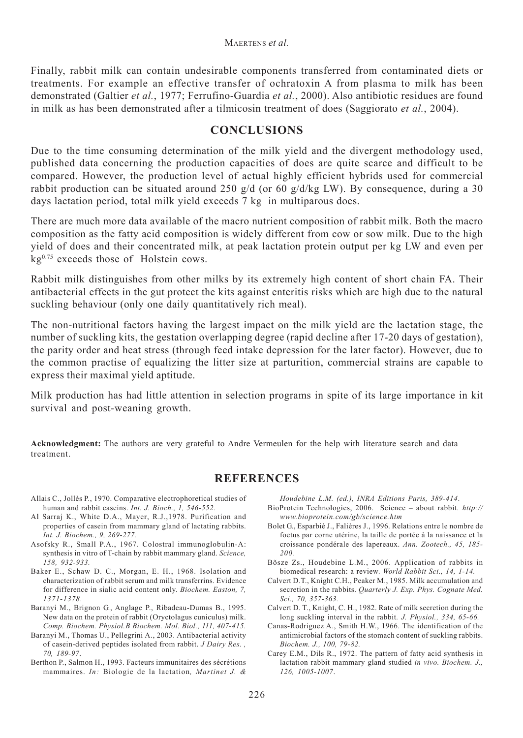Finally, rabbit milk can contain undesirable components transferred from contaminated diets or treatments. For example an effective transfer of ochratoxin A from plasma to milk has been demonstrated (Galtier *et al.*, 1977; Ferrufino-Guardia *et al.*, 2000). Also antibiotic residues are found in milk as has been demonstrated after a tilmicosin treatment of does (Saggiorato *et al.*, 2004).

#### **CONCLUSIONS**

Due to the time consuming determination of the milk yield and the divergent methodology used, published data concerning the production capacities of does are quite scarce and difficult to be compared. However, the production level of actual highly efficient hybrids used for commercial rabbit production can be situated around 250 g/d (or 60 g/d/kg LW). By consequence, during a 30 days lactation period, total milk yield exceeds 7 kg in multiparous does.

There are much more data available of the macro nutrient composition of rabbit milk. Both the macro composition as the fatty acid composition is widely different from cow or sow milk. Due to the high yield of does and their concentrated milk, at peak lactation protein output per kg LW and even per  $kg<sup>0.75</sup>$  exceeds those of Holstein cows.

Rabbit milk distinguishes from other milks by its extremely high content of short chain FA. Their antibacterial effects in the gut protect the kits against enteritis risks which are high due to the natural suckling behaviour (only one daily quantitatively rich meal).

The non-nutritional factors having the largest impact on the milk yield are the lactation stage, the number of suckling kits, the gestation overlapping degree (rapid decline after 17-20 days of gestation), the parity order and heat stress (through feed intake depression for the later factor). However, due to the common practise of equalizing the litter size at parturition, commercial strains are capable to express their maximal yield aptitude.

Milk production has had little attention in selection programs in spite of its large importance in kit survival and post-weaning growth.

**Acknowledgment:** The authors are very grateful to Andre Vermeulen for the help with literature search and data treatment.

#### **REFERENCES**

- Allais C., Jollès P., 1970. Comparative electrophoretical studies of human and rabbit caseins. *Int. J. Bioch., 1, 546-552.*
- Al Sarraj K., White D.A., Mayer, R.J.,1978. Purification and properties of casein from mammary gland of lactating rabbits. *Int. J. Biochem., 9, 269-277.*
- Asofsky R., Small P.A., 1967. Colostral immunoglobulin-A: synthesis in vitro of T-chain by rabbit mammary gland. *Science, 158, 932-933.*
- Baker E., Schaw D. C., Morgan, E. H., 1968. Isolation and characterization of rabbit serum and milk transferrins. Evidence for difference in sialic acid content only. *Biochem. Easton, 7, 1371-1378.*
- Baranyi M., Brignon G., Anglage P., Ribadeau-Dumas B., 1995. New data on the protein of rabbit (Oryctolagus cuniculus) milk. *Comp. Biochem. Physiol.B Biochem. Mol. Biol., 111, 407-415.*
- Baranyi M., Thomas U., Pellegrini A., 2003. Antibacterial activity of casein-derived peptides isolated from rabbit. *J Dairy Res. , 70, 189-97*.
- Berthon P., Salmon H., 1993. Facteurs immunitaires des sécrétions mammaires. *In:* Biologie de la lactation*, Martinet J. &*

*Houdebine L.M. (ed.), INRA Editions Paris, 389-414*.

- BioProtein Technologies, 2006. Science about rabbit*. http:// www.bioprotein.com/gb/science.htm*
- Bolet G., Esparbié J., Falières J., 1996. Relations entre le nombre de foetus par corne utérine, la taille de portée à la naissance et la croissance pondérale des lapereaux. *Ann. Zootech., 45, 185- 200.*
- Bõsze Zs., Houdebine L.M., 2006. Application of rabbits in biomedical research: a review. *World Rabbit Sci., 14, 1-14.*
- Calvert D.T., Knight C.H., Peaker M., 1985. Milk accumulation and secretion in the rabbits. *Quarterly J. Exp. Phys. Cognate Med. Sci., 70, 357-363.*
- Calvert D. T., Knight, C. H., 1982. Rate of milk secretion during the long suckling interval in the rabbit*. J. Physiol., 334, 65-66.*
- Canas-Rodriguez A., Smith H.W., 1966. The identification of the antimicrobial factors of the stomach content of suckling rabbits. *Biochem. J., 100, 79-82.*
- Carey E.M., Dils R., 1972. The pattern of fatty acid synthesis in lactation rabbit mammary gland studied *in vivo. Biochem. J., 126, 1005-1007*.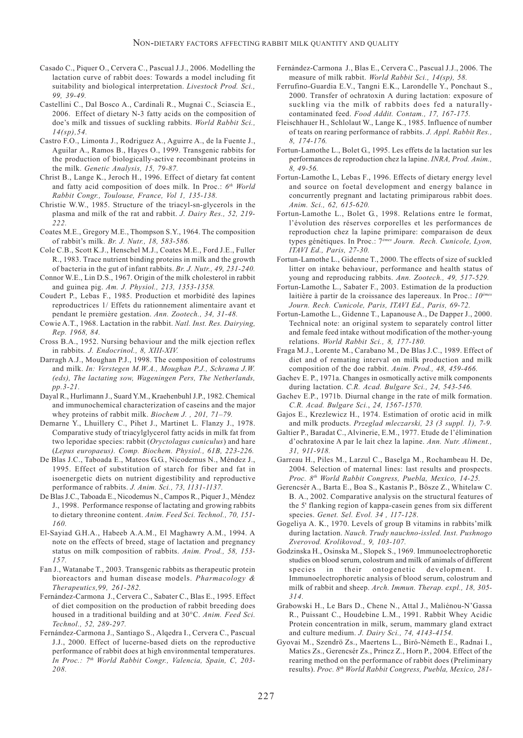- Casado C., Piquer O., Cervera C., Pascual J.J., 2006. Modelling the lactation curve of rabbit does: Towards a model including fit suitability and biological interpretation. *Livestock Prod. Sci., 99, 39-49.*
- Castellini C., Dal Bosco A., Cardinali R., Mugnai C., Sciascia E., 2006. Effect of dietary N-3 fatty acids on the composition of doe's milk and tissues of suckling rabbits. *World Rabbit Sci., 14(sp),54.*
- Castro F.O., Limonta J., Rodriguez A., Aguirre A., de la Fuente J., Aguilar A., Ramos B., Hayes O., 1999. Transgenic rabbits for the production of biologically-active recombinant proteins in the milk. *Genetic Analysis, 15, 79-87.*
- Christ B., Lange K., Jeroch H., 1996. Effect of dietary fat content and fatty acid composition of does milk. In Proc.: *6th World Rabbit Congr., Toulouse, France, Vol 1, 135-138.*
- Christie W.W., 1985. Structure of the triacyl-sn-glycerols in the plasma and milk of the rat and rabbit. *J. Dairy Res., 52, 219- 222.*
- Coates M.E., Gregory M.E., Thompson S.Y., 1964. The composition of rabbit's milk. *Br. J. Nutr., 18, 583-586.*
- Cole C.B., Scott K.J., Henschel M.J., Coates M.E., Ford J.E., Fuller R., 1983. Trace nutrient binding proteins in milk and the growth of bacteria in the gut of infant rabbits. *Br. J. Nutr., 49, 231-240.*
- Connor W.E., Lin D.S., 1967. Origin of the milk cholesterol in rabbit and guinea pig. *Am. J. Physiol., 213, 1353-1358.*
- Coudert P., Lebas F., 1985. Production et morbidité des lapines reproductrices 1/ Effets du rationnement alimentaire avant et pendant le première gestation. *Ann. Zootech., 34, 31-48.*
- Cowie A.T., 1968. Lactation in the rabbit. *Natl. Inst. Res. Dairying, Rep. 1968, 84.*
- Cross B.A., 1952. Nursing behaviour and the milk ejection reflex in rabbits*. J. Endocrinol., 8, XIII-XIV.*
- Darragh A.J., Moughan P.J., 1998. The composition of colostrums and milk. *In: Verstegen M.W.A., Moughan P.J., Schrama J.W. (eds), The lactating sow, Wageningen Pers, The Netherlands, pp.3-21.*
- Dayal R., Hurlimann J., Suard Y.M., Kraehenbuhl J.P., 1982. Chemical and immunochemical characterization of caseins and the major whey proteins of rabbit milk. *Biochem J. , 201, 71–79.*
- Demarne Y., Lhuillery C., Pihet J., Martinet L. Flanzy J., 1978. Comparative study of triacylglycerol fatty acids in milk fat from two leporidae species: rabbit (*Oryctolagus cuniculus*) and hare (*Lepus europaeus). Comp. Biochem. Physiol., 61B, 223-226.*
- De Blas J.C., Taboada E., Mateos G.G., Nicodemus N., Méndez J., 1995. Effect of substitution of starch for fiber and fat in isoenergetic diets on nutrient digestibility and reproductive performance of rabbits. *J. Anim. Sci., 73, 1131-1137.*
- De Blas J.C., Taboada E., Nicodemus N., Campos R., Piquer J., Méndez J., 1998. Performance response of lactating and growing rabbits to dietary threonine content. *Anim. Feed Sci. Technol., 70, 151- 160.*
- El-Sayiad G.H.A., Habeeb A.A.M., El Maghawry A.M., 1994. A note on the effects of breed, stage of lactation and pregnancy status on milk composition of rabbits. *Anim. Prod., 58, 153- 157.*
- Fan J., Watanabe T., 2003. Transgenic rabbits as therapeutic protein bioreactors and human disease models. *Pharmacology & Therapeutics,99, 261-282.*
- Fernández-Carmona J., Cervera C., Sabater C., Blas E., 1995. Effect of diet composition on the production of rabbit breeding does housed in a traditional building and at 30°C. *Anim. Feed Sci. Technol., 52, 289-297.*
- Fernández-Carmona J., Santiago S., Alqedra I., Cervera C., Pascual J.J., 2000. Effect of lucerne-based diets on the reproductive performance of rabbit does at high environmental temperatures. *In Proc.: 7th World Rabbit Congr., Valencia, Spain, C, 203- 208.*
- Fernández-Carmona J., Blas E., Cervera C., Pascual J.J., 2006. The measure of milk rabbit. *World Rabbit Sci., 14(sp), 58.*
- Ferrufino-Guardia E.V., Tangni E.K., Larondelle Y., Ponchaut S., 2000. Transfer of ochratoxin A during lactation: exposure of suckling via the milk of rabbits does fed a naturallycontaminated feed. *Food Addit. Contam., 17, 167-175.*
- Fleischhauer H., Schlolaut W., Lange K., 1985. Influence of number of teats on rearing performance of rabbits. *J. Appl. Rabbit Res., 8, 174-176.*
- Fortun-Lamothe L., Bolet G., 1995. Les effets de la lactation sur les performances de reproduction chez la lapine. *INRA, Prod. Anim., 8, 49-56.*
- Fortun-Lamothe L, Lebas F., 1996. Effects of dietary energy level and source on foetal development and energy balance in concurrently pregnant and lactating primiparous rabbit does. *Anim. Sci., 62, 615-620.*
- Fortun-Lamothe L., Bolet G., 1998. Relations entre le format, l'évolution des réserves corporelles et les performances de reproduction chez la lapine primipare: comparaison de deux types génétiques. In Proc.: 7*èmes Journ. Rech. Cunicole, Lyon, ITAVI Ed., Paris, 27-30.*
- Fortun-Lamothe L., Gidenne T., 2000. The effects of size of suckled litter on intake behaviour, performance and health status of young and reproducing rabbits. *Ann. Zootech., 49, 517-529.*
- Fortun-Lamothe L., Sabater F., 2003. Estimation de la production laitière à partir de la croissance des lapereaux. In Proc.: *10<sup>ème</sup> Journ. Rech. Cunicole, Paris, ITAVI Ed., Paris, 69-72.*
- Fortun-Lamothe L., Gidenne T., Lapanouse A., De Dapper J., 2000. Technical note: an original system to separately control litter and female feed intake without modification of the mother-young relations. *World Rabbit Sci., 8, 177-180.*
- Fraga M.J., Lorente M., Carabano M., De Blas J.C., 1989. Effect of diet and of remating interval on milk production and milk composition of the doe rabbit. *Anim. Prod., 48, 459-466.*
- Gachev E. P., 1971a. Changes in osmotically active milk components during lactation. *C.R. Acad. Bulgare Sci., 24, 543-546.*
- Gachev E.P., 1971b. Diurnal change in the rate of milk formation. *C.R. Acad. Bulgare Sci.*, *24, 1567-1570.*
- Gajos E., Krezlewicz H., 1974. Estimation of orotic acid in milk and milk products. *Przeglad mleczarski, 23 (3 suppl. 1), 7-9.*
- Galtier P., Baradat C., Alvinerie, E.M., 1977. Etude de l'élimination d'ochratoxine A par le lait chez la lapine. *Ann. Nutr. Aliment., 31, 911-918.*
- Garreau H., Piles M., Larzul C., Baselga M., Rochambeau H. De, 2004. Selection of maternal lines: last results and prospects. *Proc. 8th World Rabbit Congress, Puebla, Mexico, 14-25.*
- Gerencsér A., Barta E., Boa S., Kastanis P., Bösze Z., Whitelaw C. B. A., 2002. Comparative analysis on the structural features of the 5' flanking region of kappa-casein genes from six different species. *Genet. Sel. Evol. 34 , 117-128*.
- Gogeliya A. K., 1970. Levels of group B vitamins in rabbits'milk during lactation. *Nauch. Trudy nauchno-issled. Inst. Pushnogo Zverovod. Krolikovod., 9, 103-107.*
- Godzinska H., Osinska M., Slopek S., 1969. Immunoelectrophoretic studies on blood serum, colostrum and milk of animals of different species in their ontogenetic development. I. Immunoelectrophoretic analysis of blood serum, colostrum and milk of rabbit and sheep. *Arch. Immun. Therap. expl., 18, 305- 314.*
- Grabowski H., Le Bars D., Chene N., Attal J., Maliénou-N'Gassa R., Puissant C., Houdebine L.M., 1991. Rabbit Whey Acidic Protein concentration in milk, serum, mammary gland extract and culture medium. *J. Dairy Sci., 74, 4143-4154.*
- Gyovai M., Szendrö Zs., Maertens L., Biró-Németh E., Radnai I., Matics Zs., Gerencsér Zs., Princz Z., Horn P., 2004. Effect of the rearing method on the performance of rabbit does (Preliminary results). *Proc. 8th World Rabbit Congress, Puebla, Mexico, 281-*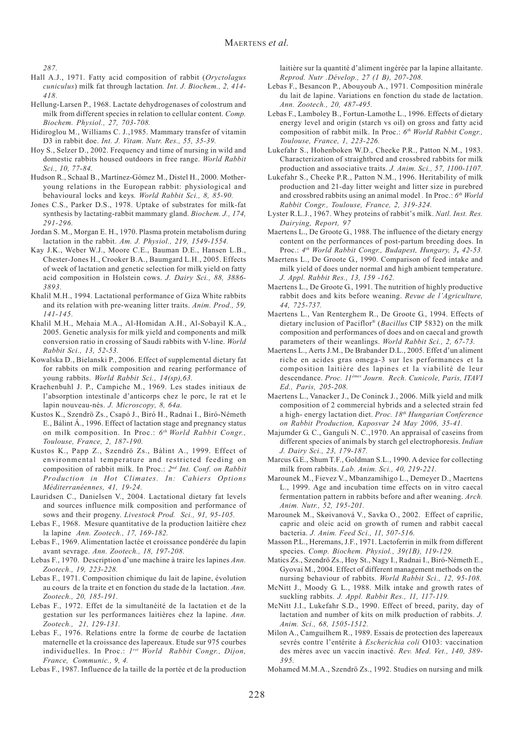*287.*

- Hall A.J., 1971. Fatty acid composition of rabbit (*Oryctolagus cuniculus*) milk fat through lactation*. Int. J. Biochem., 2, 414- 418.*
- Hellung-Larsen P., 1968. Lactate dehydrogenases of colostrum and milk from different species in relation to cellular content. *Comp. Biochem. Physiol., 27, 703-708.*
- Hidiroglou M., Williams C. J.,1985. Mammary transfer of vitamin D3 in rabbit doe. *Int. J. Vitam. Nutr. Res., 55, 35-39.*
- Hoy S., Selzer D., 2002. Frequency and time of nursing in wild and domestic rabbits housed outdoors in free range. *World Rabbit Sci., 10, 77-84.*
- Hudson R., Schaal B., Martínez-Gómez M., Distel H., 2000. Motheryoung relations in the European rabbit: physiological and behavioural locks and keys*. World Rabbit Sci., 8, 85-90.*
- Jones C.S., Parker D.S., 1978. Uptake of substrates for milk-fat synthesis by lactating-rabbit mammary gland. *Biochem. J., 174, 291-296.*
- Jordan S. M., Morgan E. H., 1970. Plasma protein metabolism during lactation in the rabbit. *Am. J. Physiol., 219, 1549-1554.*
- Kay J.K., Weber W.J., Moore C.E., Bauman D.E., Hansen L.B., Chester-Jones H., Crooker B.A., Baumgard L.H., 2005. Effects of week of lactation and genetic selection for milk yield on fatty acid composition in Holstein cows. *J. Dairy Sci., 88, 3886- 3893.*
- Khalil M.H., 1994. Lactational performance of Giza White rabbits and its relation with pre-weaning litter traits. *Anim. Prod., 59, 141-145.*
- Khalil M.H., Mehaia M.A., Al-Homidan A.H., Al-Sobayil K.A., 2005. Genetic analysis for milk yield and components and milk conversion ratio in crossing of Saudi rabbits with V-line. *World Rabbit Sci., 13, 52-53.*
- Kowalska D., Bielanski P., 2006. Effect of supplemental dietary fat for rabbits on milk composition and rearing performance of young rabbits. *World Rabbit Sci., 14(sp),63.*
- Kraehenbuhl J. P., Campiche M., 1969. Les stades initiaux de l'absorption intestinale d'anticorps chez le porc, le rat et le lapin nouveau-nés. *J. Microscopy, 8, 64a.*
- Kustos K., Szendrö Zs., Csapó J., Biró H., Radnai I., Biró-Németh E., Bálint Á., 1996. Effect of lactation stage and pregnancy status on milk composition. In Proc.: *6th World Rabbit Congr., Toulouse, France, 2, 187-190.*
- Kustos K., Papp Z., Szendrö Zs., Bálint A., 1999. Effect of environmental temperature and restricted feeding on composition of rabbit milk. In Proc.: *2nd Int. Conf. on Rabbit Production in Hot Climates. In: Cahiers Options Méditerranéennes, 41, 19-24.*
- Lauridsen C., Danielsen V., 2004. Lactational dietary fat levels and sources influence milk composition and performance of sows and their progeny. *Livestock Prod. Sci., 91, 95-105.*
- Lebas F., 1968. Mesure quantitative de la production laitière chez la lapine *Ann. Zootech., 17, 169-182.*
- Lebas F., 1969. Alimentation lactée et croissance pondérée du lapin avant sevrage. *Ann. Zootech., 18, 197-208.*
- Lebas F., 1970. Description d'une machine à traire les lapines *Ann. Zootech., 19, 223-228.*
- Lebas F., 1971. Composition chimique du lait de lapine, évolution au cours de la traite et en fonction du stade de la lactation. *Ann. Zootech., 20, 185-191.*
- Lebas F., 1972. Effet de la simultanéité de la lactation et de la gestation sur les performances laitières chez la lapine. *Ann. Zootech., 21, 129-131.*
- Lebas F., 1976. Relations entre la forme de courbe de lactation maternelle et la croissance des lapereaux. Etude sur 975 courbes individuelles. In Proc.: *1rst World Rabbit Congr., Dijon, France, Communic., 9, 4.*
- Lebas F., 1987. Influence de la taille de la portée et de la production

laitière sur la quantité d'aliment ingérée par la lapine allaitante. *Reprod. Nutr .Dévelop., 27 (1 B), 207-208.*

- Lebas F., Besancon P., Abouyoub A., 1971. Composition minérale du lait de lapine. Variations en fonction du stade de lactation. *Ann. Zootech., 20, 487-495.*
- Lebas F., Lamboley B., Fortun-Lamothe L., 1996. Effects of dietary energy level and origin (starch vs oil) on gross and fatty acid composition of rabbit milk. In Proc.: *6th World Rabbit Congr., Toulouse, France, 1, 223-226.*
- Lukefahr S., Hohenboken W.D., Cheeke P.R., Patton N.M., 1983. Characterization of straightbred and crossbred rabbits for milk production and associative traits. *J. Anim. Sci., 57, 1100-1107.*
- Lukefahr S., Cheeke P.R., Patton N.M., 1996. Heritability of milk production and 21-day litter weight and litter size in purebred and crossbred rabbits using an animal model *.* In Proc.: *6th World Rabbit Congr., Toulouse, France, 2, 319-324.*
- Lyster R.L.J., 1967. Whey proteins of rabbit's milk. *Natl. Inst. Res. Dairying, Report, 97*
- Maertens L., De Groote G., 1988. The influence of the dietary energy content on the performances of post-partum breeding does. In Proc.: *4th World Rabbit Congr., Budapest, Hungary, 3, 42-53.*
- Maertens L., De Groote G., 1990. Comparison of feed intake and milk yield of does under normal and high ambient temperature. *J. Appl. Rabbit Res., 13, 159 -162.*
- Maertens L., De Groote G., 1991. The nutrition of highly productive rabbit does and kits before weaning. *Revue de l'Agriculture, 44, 725-737.*
- Maertens L., Van Renterghem R., De Groote G., 1994. Effects of dietary inclusion of Paciflor® (*Bacillus* CIP 5832) on the milk composition and performances of does and on caecal and growth parameters of their weanlings. *World Rabbit Sci., 2, 67-73.*
- Maertens L., Aerts J.M., De Brabander D.L., 2005. Effet d'un aliment riche en acides gras omega-3 sur les performances et la composition laitière des lapines et la viabilité de leur descendance. *Proc. 11èmes Journ. Rech. Cunicole, Paris, ITAVI Ed., Paris, 205-208.*
- Maertens L., Vanacker J., De Coninck J., 2006. Milk yield and milk composition of 2 commercial hybrids and a selected strain fed a high- energy lactation diet. *Proc. 18th Hungarian Conference on Rabbit Production, Kaposvar 24 May 2006, 35-41.*
- Majumder G. C., Ganguli N. C.,1970. An appraisal of caseins from different species of animals by starch gel electrophoresis. *Indian J. Dairy Sci., 23, 179-187.*
- Marcus G.E., Shum T.F., Goldman S.L., 1990. A device for collecting milk from rabbits. *Lab. Anim. Sci., 40, 219-221.*
- Marounek M., Fievez V., Mbanzamihigo L., Demeyer D., Maertens L., 1999. Age and incubation time effects on in vitro caecal fermentation pattern in rabbits before and after weaning. *Arch. Anim. Nutr., 52, 195-201.*
- Marounek M., Skøivanová V., Savka O., 2002. Effect of caprilic, capric and oleic acid on growth of rumen and rabbit caecal bacteria. *J. Anim. Feed Sci., 11, 507-516.*
- Masson P.L., Heremans, J.F., 1971. Lactoferrin in milk from different species. *Comp. Biochem. Physiol., 39(1B), 119-129.*
- Matics Zs., Szendrö Zs., Hoy St., Nagy I., Radnai I., Biró-Németh E., Gyovai M., 2004. Effect of different management methods on the nursing behaviour of rabbits*. World Rabbit Sci., 12, 95-108.*
- McNitt J., Moody G. L., 1988. Milk intake and growth rates of suckling rabbits. *J. Appl. Rabbit Res., 11, 117-119.*
- McNitt J.I., Lukefahr S.D., 1990. Effect of breed, parity, day of lactation and number of kits on milk production of rabbits. *J. Anim. Sci., 68, 1505-1512.*
- Milon A., Camguilhem R., 1989. Essais de protection des lapereaux sevrés contre l'entérite à *Escherichia coli* O103: vaccination des mères avec un vaccin inactivé*. Rev. Med. Vet., 140, 389- 395.*
- Mohamed M.M.A., Szendrö Zs., 1992. Studies on nursing and milk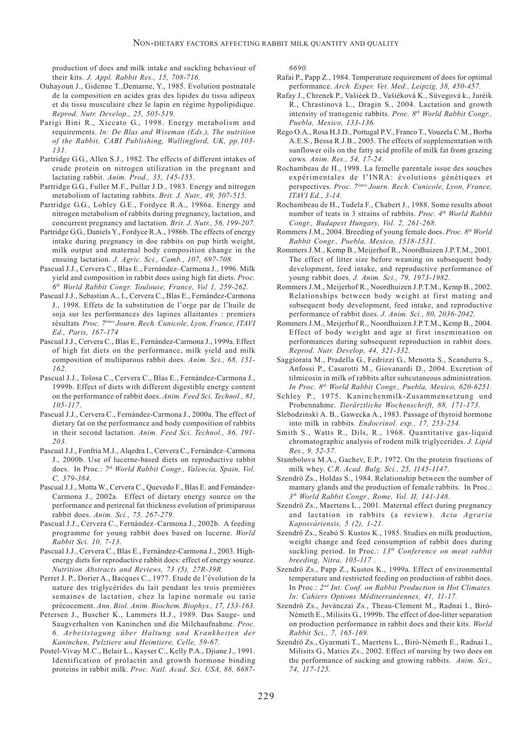production of does and milk intake and suckling behaviour of their kits. *J. Appl. Rabbit Res., 15, 708-716.*

- Ouhayoun J., Gidenne T.,Demarne, Y., 1985. Evolution postnatale de la composition en acides gras des lipides du tissu adipeux et du tissu musculaire chez le lapin en régime hypolipidique. *Reprod. Nutr. Develop., 25, 505-519.*
- Parigi Bini R., Xiccato G., 1998. Energy metabolism and requirements. *In: De Blas and Wiseman (Eds.), The nutrition of the Rabbit, CABI Publishing, Wallingford, UK, pp.103- 131.*
- Partridge G.G., Allen S.J., 1982. The effects of different intakes of crude protein on nitrogen utilization in the pregnant and lactating rabbit. *Anim. Prod., 35, 145-155*.
- Partridge G.G., Fuller M.F., Pullar J.D., 1983. Energy and nitrogen metabolism of lactating rabbits. *Brit. J. Nutr., 49, 507-515.*
- Partridge G.G., Lobley G.E., Fordyce R.A., 1986a. Energy and nitrogen metabolism of rabbits during pregnancy, lactation, and concurrent pregnancy and lactation. *Brit. J. Nutr., 56, 199-207.*
- Partridge G.G., Daniels Y., Fordyce R.A., 1986b. The effects of energy intake during pregnancy in doe rabbits on pup birth weight, milk output and maternal body composition change in the ensuing lactation. *J. Agric. Sci., Camb., 107, 697-708.*
- Pascual J.J., Cervera C., Blas E., Fernández–Carmona J., 1996. Milk yield and composition in rabbit does using high fat diets. *Proc. 6th World Rabbit Congr. Toulouse, France, Vol 1, 259-262.*
- Pascual J.J., Sebastian A., I., Cervera C., Blas E., Fernández-Carmona J., 1998. Effets de la substitution de l'orge par de l'huile de soja sur les performances des lapines allaitantes : premiers résultats *Proc. 7émes Journ. Rech. Cunicole, Lyon, France, ITAVI Ed., Paris, 167-174*
- Pascual J.J., Cervera C., Blas E., Fernández-Carmona J., 1999a. Effect of high fat diets on the performance, milk yield and milk composition of multiparous rabbit does. *Anim. Sci., 68, 151- 162.*
- Pascual J.J., Tolosa C., Cervera C., Blas E., Fernández-Carmona J., 1999b. Effect of diets with different digestible energy content on the performance of rabbit does. *Anim. Feed Sci. Technol., 81, 105-117*.
- Pascual J.J., Cervera C., Fernández-Carmona J., 2000a. The effect of dietary fat on the performance and body composition of rabbits in their second lactation. *Anim. Feed Sci. Technol., 86, 191- 203.*
- Pascual J.J., Fonfria M.J., Alqedra I., Cervera C., Fernández–Carmona J., 2000b. Use of lucerne-based diets on reproductive rabbit does. In Proc.: *7th World Rabbit Congr., Valencia, Spain, Vol. C, 379-384.*
- Pascual J.J., Motta W., Cervera C., Quevedo F., Blas E. and Fernández-Carmona J., 2002a. Effect of dietary energy source on the performance and perirenal fat thickness evolution of primiparous rabbit does. *Anim. Sci., 75, 267-279.*
- Pascual J.J., Cervera C., Fernández–Carmona J., 2002b. A feeding programme for young rabbit does based on lucerne. *World Rabbit Sci. 10, 7-13*.
- Pascual J.J., Cervera C., Blas E., Fernández-Carmona J., 2003. Highenergy diets for reproductive rabbit does: effect of energy source. *Nutrition Abstracts and Reviews, 73 (5), 27R-39R.*
- Perret J. P., Dorier A., Bacques C., 1977. Etude de l'évolution de la nature des triglycérides du lait pendant les trois premières semaines de lactation, chez la lapine normale ou tarie précocement. *Ann. Biol. Anim. Biochem. Biophys., 17, 153-163.*
- Petersen J., Buscher K., Lammers H.J., 1989. Das Sauge- und Saugverhalten von Kaninchen und die Milchaufnahme. *Proc. 6. Arbeitstagung über Haltung und Krankheiten der Kaninchen, Pelztiere und Heimtiere, Celle, 59-67.*
- Postel-Vivay M.C., Belair L., Kayser C., Kelly P.A., Djiane J., 1991. Identification of prolactin and growth hormone binding proteins in rabbit milk. *Proc. Natl. Acad. Sci. USA, 88, 6687-*

*6690.*

- Rafai P., Papp Z., 1984. Temperature requirement of does for optimal performance. *Arch. Exper. Vet. Med., Leipzig, 38, 450-457.*
- Rafay J., Chrenek P., Vašièek D., Vašièková K., Süvegová k., Jurèik R., Chrastinová L., Dragin S., 2004. Lactation and growth intensity of transgenic rabbits. *Proc. 8th World Rabbit Congr., Puebla, Mexico, 133-136.*
- Rego O.A., Rosa H.J.D., Portugal P.V., Franco T., Vouzela C.M., Borba A.E.S., Bessa R.J.B., 2005. The effects of supplementation with sunflower oils on the fatty acid profile of milk fat from grazing cows*. Anim. Res., 54, 17-24.*
- Rochambeau de H., 1998. La femelle parentale issue des souches expérimentales de l'INRA: évolutions génétiques et perspectives. *Proc. 7émes Journ. Rech. Cunicole, Lyon, France, ITAVI Ed., 3-14.*
- Rochambeau de H., Tudela F., Chabert J., 1988. Some results about number of teats in 3 strains of rabbits. *Proc. 4th World Rabbit Congr., Budapest Hungary, Vol. 2, 261-268.*
- Rommers J.M., 2004. Breeding of young female does. *Proc. 8th World Rabbit Congr., Puebla, Mexico, 1518-1531.*
- Rommers J.M., Kemp B., Meijerhof R., Noordhuizen J.P.T.M., 2001. The effect of litter size before weaning on subsequent body development, feed intake, and reproductive performance of young rabbit does. *J. Anim. Sci., 79, 1973-1982*.
- Rommers J.M., Meijerhof R., Noordhuizen J.P.T.M., Kemp B., 2002. Relationships between body weight at first mating and subsequent body development, feed intake, and reproductive performance of rabbit does. *J. Anim. Sci., 80, 2036-2042.*
- Rommers J.M., Meijerhof R., Noordhuizen J.P.T.M., Kemp B., 2004. Effect of body weight and age at first insemination on performances during subsequent reproduction in rabbit does. *Reprod. Nutr. Develop, 44, 321-332.*
- Saggiorata M., Pradella G., Fedrizzi G., Menotta S., Scandurra S., Anfossi P., Casarotti M., Giovanardi D., 2004. Excretion of tilmicosin in milk of rabbits after subcutaneous administration. *In Proc. 8th World Rabbit Congr., Puebla, Mexico, 620-6251.*
- Schley P., 1975. Kaninchenmilk-Zusammensetzung und Probennahme. *Tierärztliche Wochenschrift, 88, 171-173.*
- Slebodzinski A. B., Gawecka A., 1983. Passage of thyroid hormone into milk in rabbits. *Endocrinol. exp., 17, 253-254.*
- Smith S., Watts R., Dils, R., 1968. Quantitative gas-liquid chromatographic analysis of rodent milk triglycerides. *J. Lipid Res., 9, 52-57.*
- Stambolova M.A., Gachev, E.P., 1972. On the protein fractions of milk whey. *C.R. Acad. Bulg. Sci., 25, 1145-1147*.
- Szendrö Zs., Holdas S., 1984. Relationship between the number of mamary glands and the production of female rabbits. In Proc.: *3th World Rabbit Congr., Rome, Vol. II, 141-148.*
- Szendrö Zs., Maertens L., 2001. Maternal effect during pregnancy and lactation in rabbits (a review). *Acta Agraria Kaposváriensis, 5 (2), 1-21.*
- Szendrö Zs., Szabó S. Kustos K., 1985. Studies on milk production, weight change and feed consumption of rabbit does during suckling period. In Proc.: *13th Conference on meat rabbit breeding, Nitra, 105-117 .*
- Szendrö Zs., Papp Z., Kustos K., 1999a. Effect of environmental temperature and restricted feeding on production of rabbit does. In Proc.: *2nd Int. Conf. on Rabbit Production in Hot Climates. In: Cahiers Options Méditerranéennes, 41, 11-17.*
- Szendrö Zs., Jovánczai Zs., Theau-Clement M., Radnai I., Biró-Németh E., Milisits G., 1999b. The effect of doe-litter separation on production performance in rabbit does and their kits. *World Rabbit Sci., 7, 165-169.*
- Szendrö Zs., Gyarmati T., Maertens L., Biró-Németh E., Radnai I., Milisits G., Matics Zs., 2002. Effect of nursing by two does on the performance of sucking and growing rabbits. *Anim. Sci., 74, 117-125.*